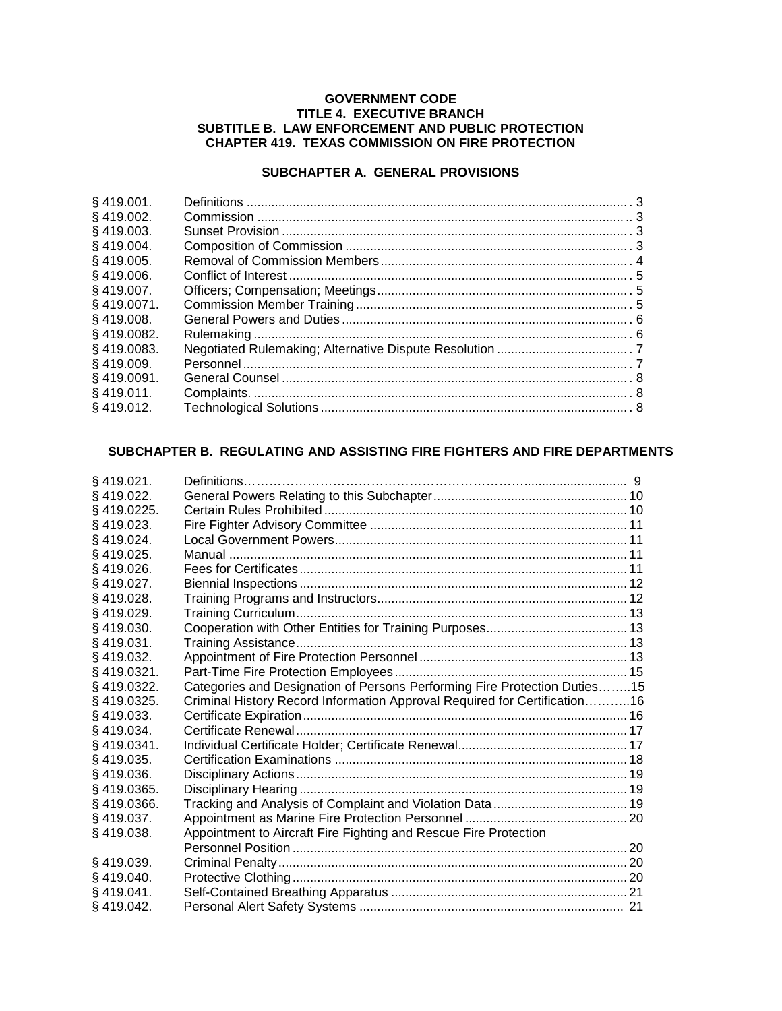### **GOVERNMENT CODE TITLE 4. EXECUTIVE BRANCH SUBTITLE B. LAW ENFORCEMENT AND PUBLIC PROTECTION CHAPTER 419. TEXAS COMMISSION ON FIRE PROTECTION**

# **SUBCHAPTER A. GENERAL PROVISIONS**

| \$419.001.    |  |
|---------------|--|
| $§$ 419.002.  |  |
| §419.003.     |  |
| $§$ 419.004.  |  |
| §419.005.     |  |
| \$419.006.    |  |
| \$419,007.    |  |
| \$419,0071.   |  |
| \$419.008.    |  |
| $§$ 419.0082. |  |
| §419.0083.    |  |
| S 419.009.    |  |
| §419.0091.    |  |
| ଼\$ 419.011.  |  |
| § 419.012.    |  |
|               |  |

# **SUBCHAPTER B. REGULATING AND ASSISTING FIRE FIGHTERS AND FIRE DEPARTMENTS**

| $§$ 419.021.  |                                                                           |  |
|---------------|---------------------------------------------------------------------------|--|
| §419.022.     |                                                                           |  |
| §419.0225.    |                                                                           |  |
| §419.023.     |                                                                           |  |
| \$419.024.    |                                                                           |  |
| §419.025.     |                                                                           |  |
| §419.026.     |                                                                           |  |
| $§$ 419.027.  |                                                                           |  |
| §419.028.     |                                                                           |  |
| §419.029.     |                                                                           |  |
| $§$ 419.030.  |                                                                           |  |
| §419.031.     |                                                                           |  |
| $§$ 419.032.  |                                                                           |  |
| $§$ 419.0321. |                                                                           |  |
| §419.0322.    | Categories and Designation of Persons Performing Fire Protection Duties15 |  |
| §419.0325.    | Criminal History Record Information Approval Required for Certification16 |  |
| \$419.033.    |                                                                           |  |
| §419.034.     |                                                                           |  |
| §419.0341.    |                                                                           |  |
| §419.035.     |                                                                           |  |
| §419.036.     |                                                                           |  |
| §419.0365.    |                                                                           |  |
| §419.0366.    |                                                                           |  |
| §419.037.     |                                                                           |  |
| §419.038.     | Appointment to Aircraft Fire Fighting and Rescue Fire Protection          |  |
|               |                                                                           |  |
| §419.039.     |                                                                           |  |
| §419.040.     |                                                                           |  |
| \$419.041.    |                                                                           |  |
| §419.042.     |                                                                           |  |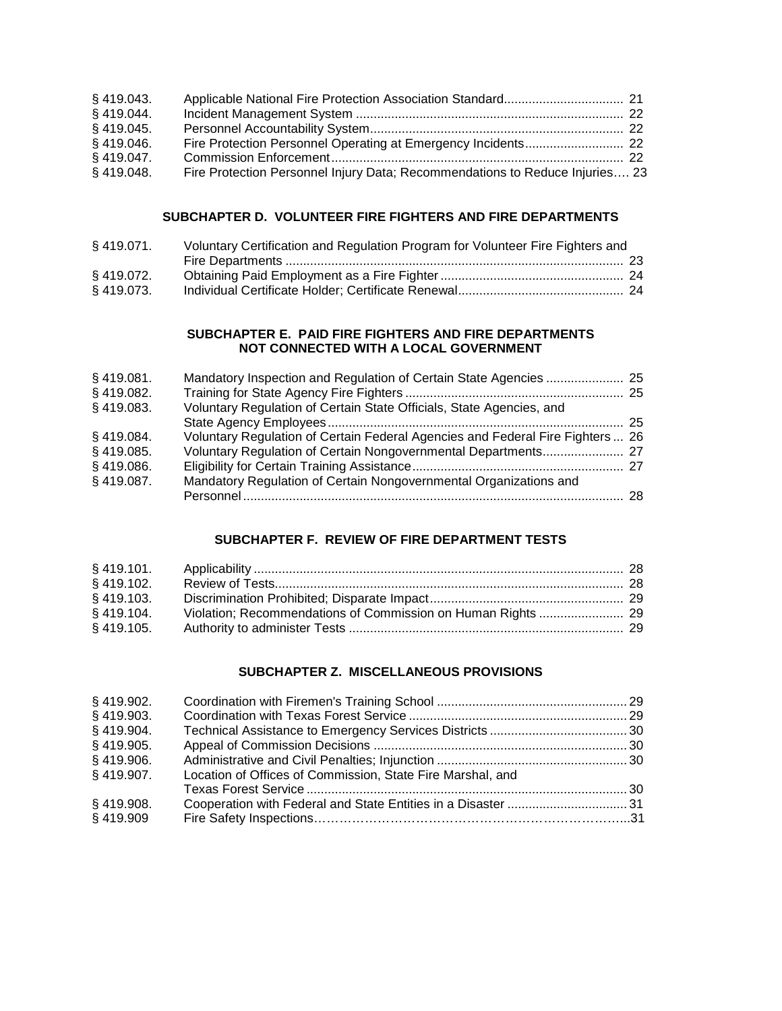| $§$ 419.043. |                                                                              |  |
|--------------|------------------------------------------------------------------------------|--|
| $§$ 419.044. |                                                                              |  |
| $§$ 419.045. |                                                                              |  |
| $§$ 419.046. |                                                                              |  |
| $§$ 419.047. |                                                                              |  |
| $§$ 419.048. | Fire Protection Personnel Injury Data; Recommendations to Reduce Injuries 23 |  |

# **SUBCHAPTER D. VOLUNTEER FIRE FIGHTERS AND FIRE DEPARTMENTS**

| $§$ 419.071. | Voluntary Certification and Regulation Program for Volunteer Fire Fighters and |  |
|--------------|--------------------------------------------------------------------------------|--|
|              |                                                                                |  |
| § 419.072.   |                                                                                |  |
| § 419.073.   |                                                                                |  |

### **SUBCHAPTER E. PAID FIRE FIGHTERS AND FIRE DEPARTMENTS NOT CONNECTED WITH A LOCAL GOVERNMENT**

| $§$ 419.081. | Mandatory Inspection and Regulation of Certain State Agencies  25             |  |
|--------------|-------------------------------------------------------------------------------|--|
| $§$ 419.082. |                                                                               |  |
| §419.083.    | Voluntary Regulation of Certain State Officials, State Agencies, and          |  |
|              |                                                                               |  |
| §419.084.    | Voluntary Regulation of Certain Federal Agencies and Federal Fire Fighters 26 |  |
| §419.085.    | Voluntary Regulation of Certain Nongovernmental Departments 27                |  |
| $§$ 419.086. |                                                                               |  |
| $§$ 419.087. | Mandatory Regulation of Certain Nongovernmental Organizations and             |  |
|              |                                                                               |  |

# **SUBCHAPTER F. REVIEW OF FIRE DEPARTMENT TESTS**

| § 419.102.   |  |
|--------------|--|
| $§$ 419.103. |  |
| $§$ 419.104. |  |
| § 419.105.   |  |

### **SUBCHAPTER Z. MISCELLANEOUS PROVISIONS**

| § 419.902.   |                                                            |  |
|--------------|------------------------------------------------------------|--|
| § 419.903.   |                                                            |  |
| § 419.904.   |                                                            |  |
| § 419.905.   |                                                            |  |
| § 419.906.   |                                                            |  |
| §419.907.    | Location of Offices of Commission, State Fire Marshal, and |  |
|              |                                                            |  |
| $§$ 419.908. |                                                            |  |
| §419.909     |                                                            |  |
|              |                                                            |  |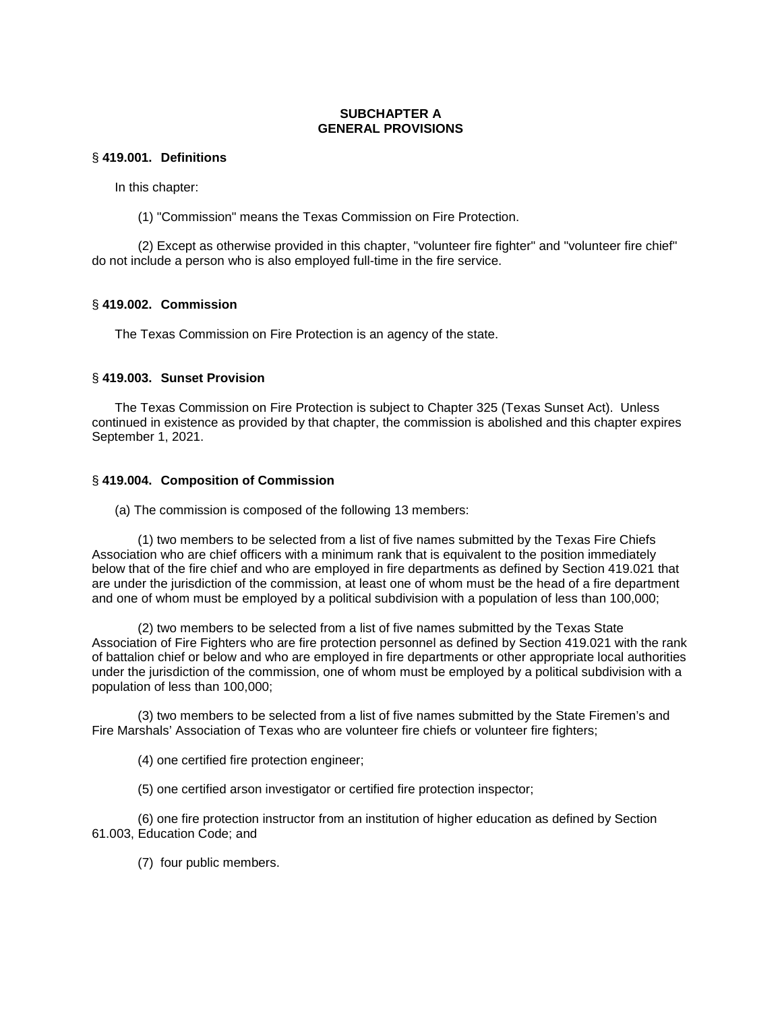# **SUBCHAPTER A GENERAL PROVISIONS**

### § **419.001. Definitions**

In this chapter:

(1) "Commission" means the Texas Commission on Fire Protection.

(2) Except as otherwise provided in this chapter, "volunteer fire fighter" and "volunteer fire chief" do not include a person who is also employed full-time in the fire service.

# § **419.002. Commission**

The Texas Commission on Fire Protection is an agency of the state.

# § **419.003. Sunset Provision**

The Texas Commission on Fire Protection is subject to Chapter 325 (Texas Sunset Act). Unless continued in existence as provided by that chapter, the commission is abolished and this chapter expires September 1, 2021.

# § **419.004. Composition of Commission**

(a) The commission is composed of the following 13 members:

(1) two members to be selected from a list of five names submitted by the Texas Fire Chiefs Association who are chief officers with a minimum rank that is equivalent to the position immediately below that of the fire chief and who are employed in fire departments as defined by Section 419.021 that are under the jurisdiction of the commission, at least one of whom must be the head of a fire department and one of whom must be employed by a political subdivision with a population of less than 100,000;

(2) two members to be selected from a list of five names submitted by the Texas State Association of Fire Fighters who are fire protection personnel as defined by Section 419.021 with the rank of battalion chief or below and who are employed in fire departments or other appropriate local authorities under the jurisdiction of the commission, one of whom must be employed by a political subdivision with a population of less than 100,000;

(3) two members to be selected from a list of five names submitted by the State Firemen's and Fire Marshals' Association of Texas who are volunteer fire chiefs or volunteer fire fighters;

(4) one certified fire protection engineer;

(5) one certified arson investigator or certified fire protection inspector;

(6) one fire protection instructor from an institution of higher education as defined by Section 61.003, Education Code; and

(7) four public members.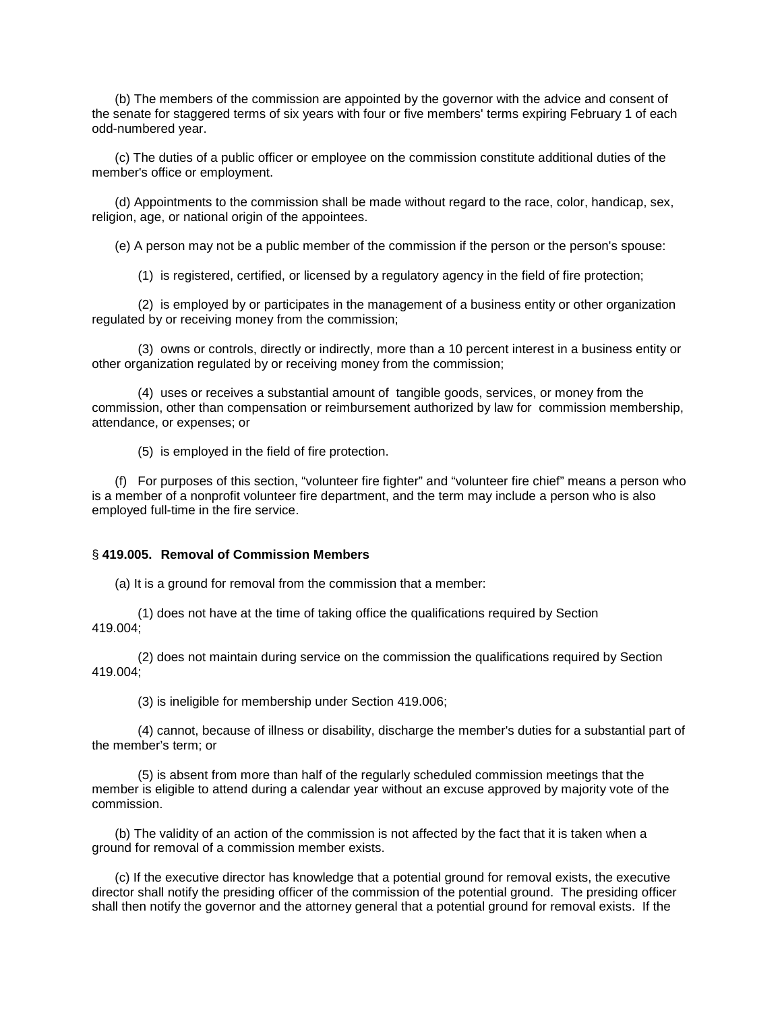(b) The members of the commission are appointed by the governor with the advice and consent of the senate for staggered terms of six years with four or five members' terms expiring February 1 of each odd-numbered year.

(c) The duties of a public officer or employee on the commission constitute additional duties of the member's office or employment.

(d) Appointments to the commission shall be made without regard to the race, color, handicap, sex, religion, age, or national origin of the appointees.

(e) A person may not be a public member of the commission if the person or the person's spouse:

(1) is registered, certified, or licensed by a regulatory agency in the field of fire protection;

(2) is employed by or participates in the management of a business entity or other organization regulated by or receiving money from the commission;

(3) owns or controls, directly or indirectly, more than a 10 percent interest in a business entity or other organization regulated by or receiving money from the commission;

(4) uses or receives a substantial amount of tangible goods, services, or money from the commission, other than compensation or reimbursement authorized by law for commission membership, attendance, or expenses; or

(5) is employed in the field of fire protection.

(f) For purposes of this section, "volunteer fire fighter" and "volunteer fire chief" means a person who is a member of a nonprofit volunteer fire department, and the term may include a person who is also employed full-time in the fire service.

#### § **419.005. Removal of Commission Members**

(a) It is a ground for removal from the commission that a member:

(1) does not have at the time of taking office the qualifications required by Section 419.004;

(2) does not maintain during service on the commission the qualifications required by Section  $419.004$ 

(3) is ineligible for membership under Section 419.006;

(4) cannot, because of illness or disability, discharge the member's duties for a substantial part of the member's term; or

(5) is absent from more than half of the regularly scheduled commission meetings that the member is eligible to attend during a calendar year without an excuse approved by majority vote of the commission.

(b) The validity of an action of the commission is not affected by the fact that it is taken when a ground for removal of a commission member exists.

(c) If the executive director has knowledge that a potential ground for removal exists, the executive director shall notify the presiding officer of the commission of the potential ground. The presiding officer shall then notify the governor and the attorney general that a potential ground for removal exists. If the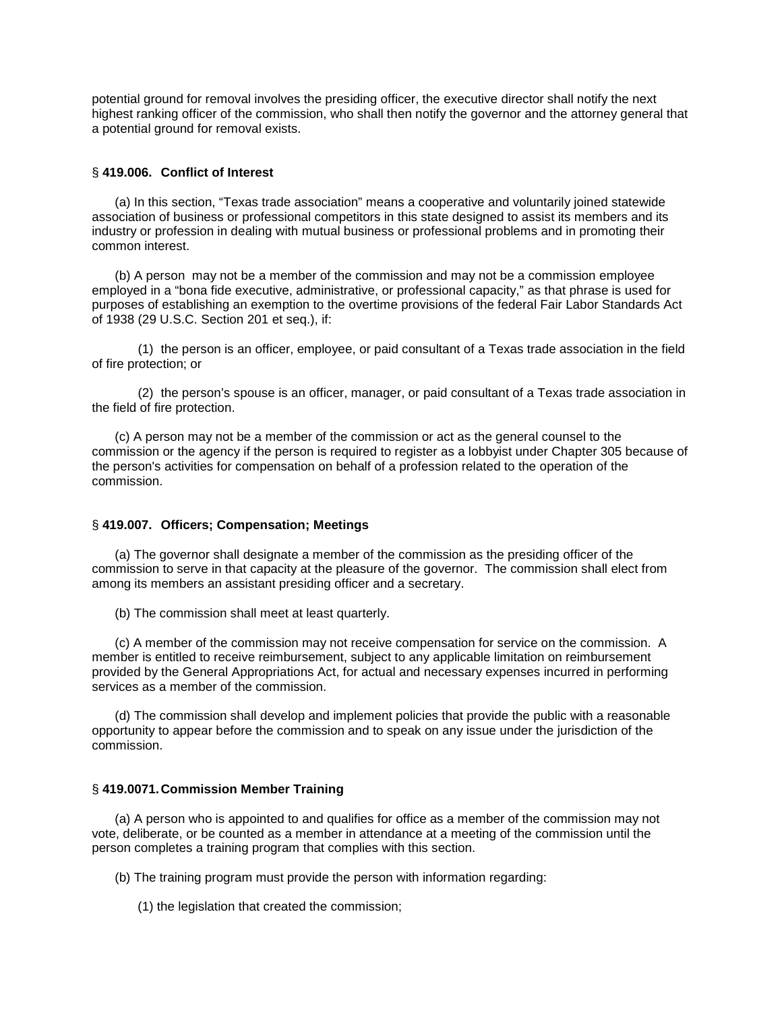potential ground for removal involves the presiding officer, the executive director shall notify the next highest ranking officer of the commission, who shall then notify the governor and the attorney general that a potential ground for removal exists.

### § **419.006. Conflict of Interest**

(a) In this section, "Texas trade association" means a cooperative and voluntarily joined statewide association of business or professional competitors in this state designed to assist its members and its industry or profession in dealing with mutual business or professional problems and in promoting their common interest.

(b) A person may not be a member of the commission and may not be a commission employee employed in a "bona fide executive, administrative, or professional capacity," as that phrase is used for purposes of establishing an exemption to the overtime provisions of the federal Fair Labor Standards Act of 1938 (29 U.S.C. Section 201 et seq.), if:

(1) the person is an officer, employee, or paid consultant of a Texas trade association in the field of fire protection; or

(2) the person's spouse is an officer, manager, or paid consultant of a Texas trade association in the field of fire protection.

(c) A person may not be a member of the commission or act as the general counsel to the commission or the agency if the person is required to register as a lobbyist under Chapter 305 because of the person's activities for compensation on behalf of a profession related to the operation of the commission.

### § **419.007. Officers; Compensation; Meetings**

(a) The governor shall designate a member of the commission as the presiding officer of the commission to serve in that capacity at the pleasure of the governor. The commission shall elect from among its members an assistant presiding officer and a secretary.

(b) The commission shall meet at least quarterly.

(c) A member of the commission may not receive compensation for service on the commission. A member is entitled to receive reimbursement, subject to any applicable limitation on reimbursement provided by the General Appropriations Act, for actual and necessary expenses incurred in performing services as a member of the commission.

(d) The commission shall develop and implement policies that provide the public with a reasonable opportunity to appear before the commission and to speak on any issue under the jurisdiction of the commission.

#### § **419.0071.Commission Member Training**

(a) A person who is appointed to and qualifies for office as a member of the commission may not vote, deliberate, or be counted as a member in attendance at a meeting of the commission until the person completes a training program that complies with this section.

(b) The training program must provide the person with information regarding:

(1) the legislation that created the commission;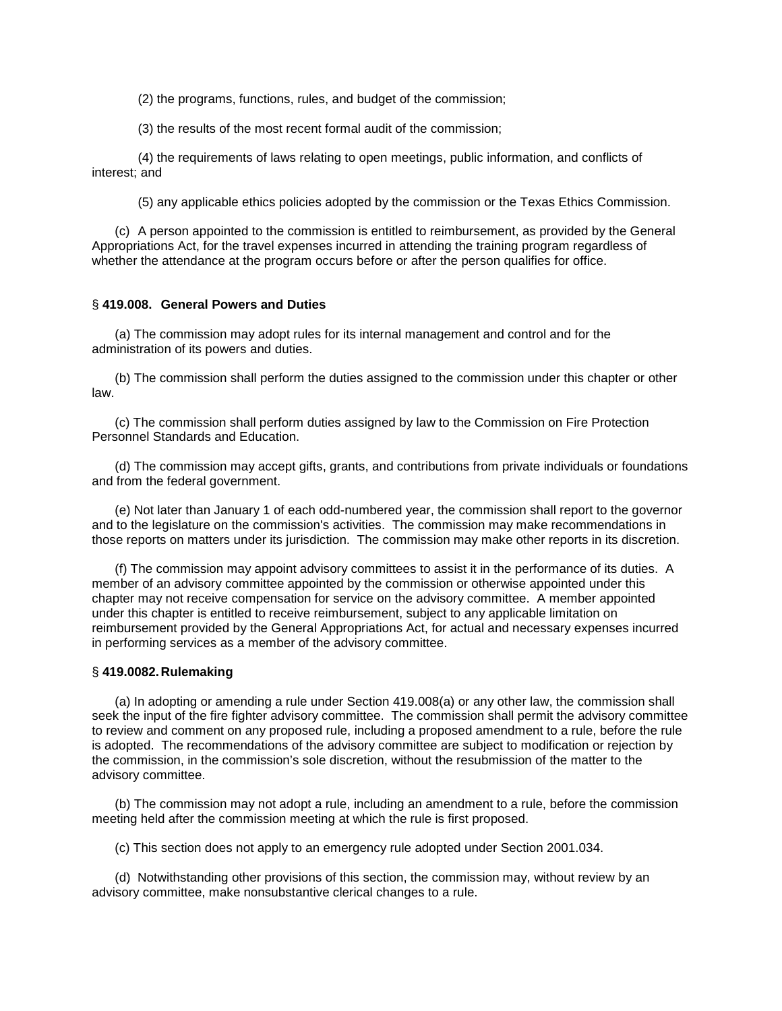(2) the programs, functions, rules, and budget of the commission;

(3) the results of the most recent formal audit of the commission;

(4) the requirements of laws relating to open meetings, public information, and conflicts of interest; and

(5) any applicable ethics policies adopted by the commission or the Texas Ethics Commission.

(c) A person appointed to the commission is entitled to reimbursement, as provided by the General Appropriations Act, for the travel expenses incurred in attending the training program regardless of whether the attendance at the program occurs before or after the person qualifies for office.

### § **419.008. General Powers and Duties**

(a) The commission may adopt rules for its internal management and control and for the administration of its powers and duties.

(b) The commission shall perform the duties assigned to the commission under this chapter or other law.

(c) The commission shall perform duties assigned by law to the Commission on Fire Protection Personnel Standards and Education.

(d) The commission may accept gifts, grants, and contributions from private individuals or foundations and from the federal government.

(e) Not later than January 1 of each odd-numbered year, the commission shall report to the governor and to the legislature on the commission's activities. The commission may make recommendations in those reports on matters under its jurisdiction. The commission may make other reports in its discretion.

(f) The commission may appoint advisory committees to assist it in the performance of its duties. A member of an advisory committee appointed by the commission or otherwise appointed under this chapter may not receive compensation for service on the advisory committee. A member appointed under this chapter is entitled to receive reimbursement, subject to any applicable limitation on reimbursement provided by the General Appropriations Act, for actual and necessary expenses incurred in performing services as a member of the advisory committee.

# § **419.0082.Rulemaking**

(a) In adopting or amending a rule under Section 419.008(a) or any other law, the commission shall seek the input of the fire fighter advisory committee. The commission shall permit the advisory committee to review and comment on any proposed rule, including a proposed amendment to a rule, before the rule is adopted. The recommendations of the advisory committee are subject to modification or rejection by the commission, in the commission's sole discretion, without the resubmission of the matter to the advisory committee.

(b) The commission may not adopt a rule, including an amendment to a rule, before the commission meeting held after the commission meeting at which the rule is first proposed.

(c) This section does not apply to an emergency rule adopted under Section 2001.034.

(d) Notwithstanding other provisions of this section, the commission may, without review by an advisory committee, make nonsubstantive clerical changes to a rule.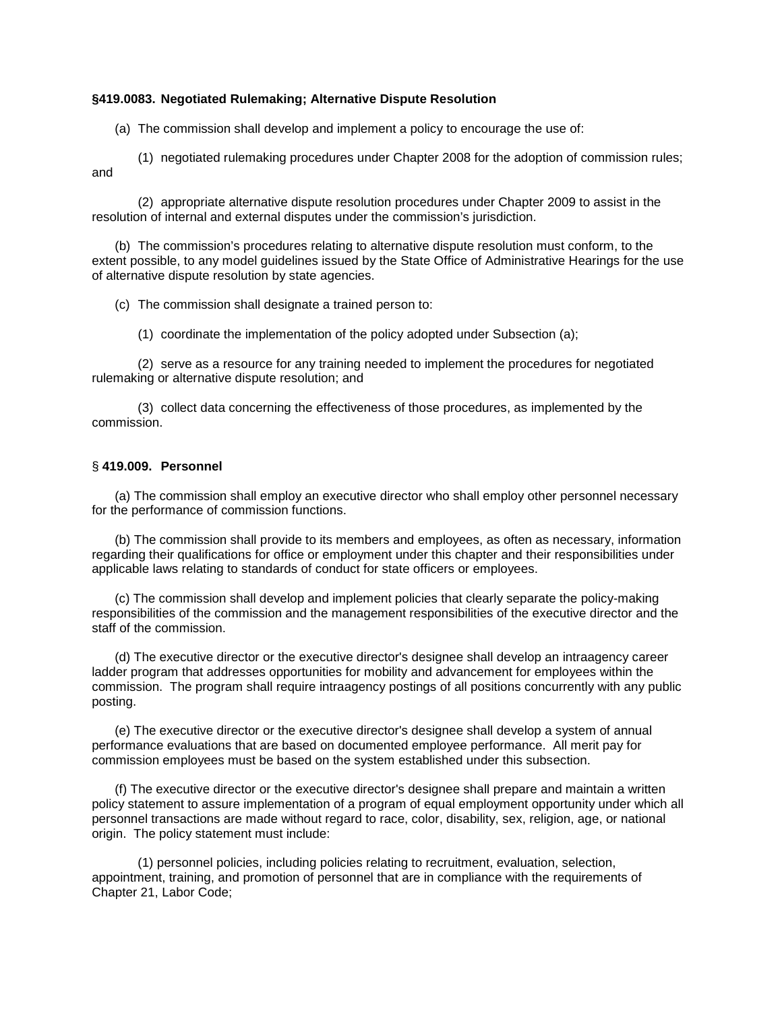### **§419.0083. Negotiated Rulemaking; Alternative Dispute Resolution**

(a) The commission shall develop and implement a policy to encourage the use of:

(1) negotiated rulemaking procedures under Chapter 2008 for the adoption of commission rules; and

(2) appropriate alternative dispute resolution procedures under Chapter 2009 to assist in the resolution of internal and external disputes under the commission's jurisdiction.

(b) The commission's procedures relating to alternative dispute resolution must conform, to the extent possible, to any model guidelines issued by the State Office of Administrative Hearings for the use of alternative dispute resolution by state agencies.

(c) The commission shall designate a trained person to:

(1) coordinate the implementation of the policy adopted under Subsection (a);

(2) serve as a resource for any training needed to implement the procedures for negotiated rulemaking or alternative dispute resolution; and

(3) collect data concerning the effectiveness of those procedures, as implemented by the commission.

### § **419.009. Personnel**

(a) The commission shall employ an executive director who shall employ other personnel necessary for the performance of commission functions.

(b) The commission shall provide to its members and employees, as often as necessary, information regarding their qualifications for office or employment under this chapter and their responsibilities under applicable laws relating to standards of conduct for state officers or employees.

(c) The commission shall develop and implement policies that clearly separate the policy-making responsibilities of the commission and the management responsibilities of the executive director and the staff of the commission.

(d) The executive director or the executive director's designee shall develop an intraagency career ladder program that addresses opportunities for mobility and advancement for employees within the commission. The program shall require intraagency postings of all positions concurrently with any public posting.

(e) The executive director or the executive director's designee shall develop a system of annual performance evaluations that are based on documented employee performance. All merit pay for commission employees must be based on the system established under this subsection.

(f) The executive director or the executive director's designee shall prepare and maintain a written policy statement to assure implementation of a program of equal employment opportunity under which all personnel transactions are made without regard to race, color, disability, sex, religion, age, or national origin. The policy statement must include:

(1) personnel policies, including policies relating to recruitment, evaluation, selection, appointment, training, and promotion of personnel that are in compliance with the requirements of Chapter 21, Labor Code;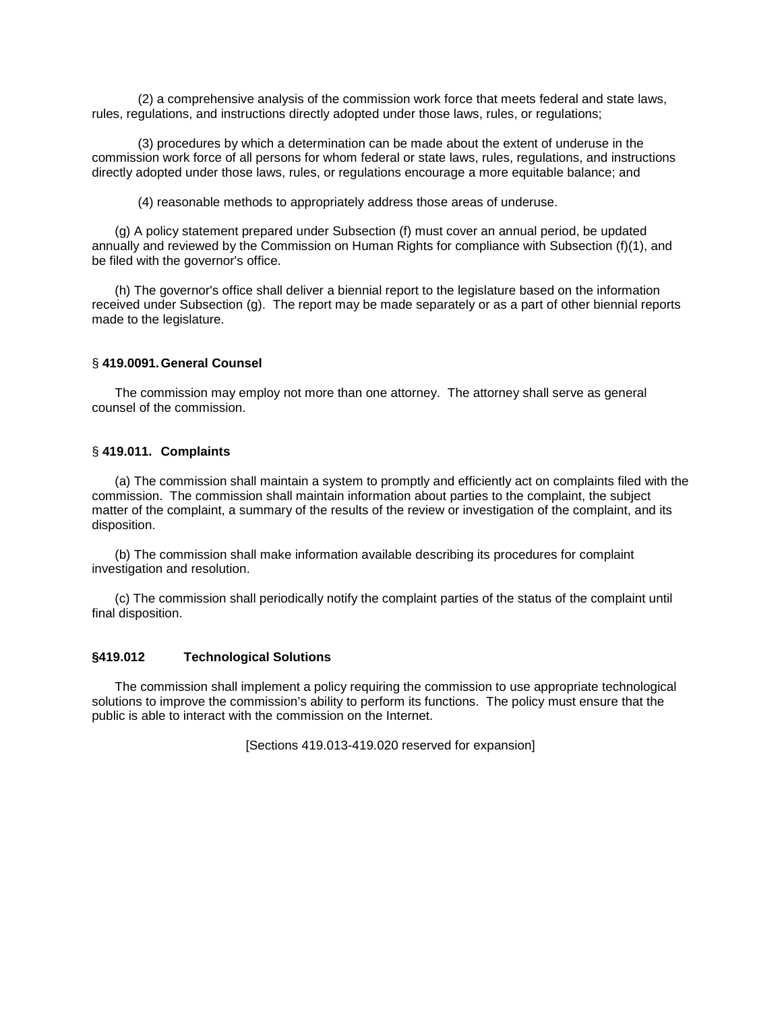(2) a comprehensive analysis of the commission work force that meets federal and state laws, rules, regulations, and instructions directly adopted under those laws, rules, or regulations;

(3) procedures by which a determination can be made about the extent of underuse in the commission work force of all persons for whom federal or state laws, rules, regulations, and instructions directly adopted under those laws, rules, or regulations encourage a more equitable balance; and

(4) reasonable methods to appropriately address those areas of underuse.

(g) A policy statement prepared under Subsection (f) must cover an annual period, be updated annually and reviewed by the Commission on Human Rights for compliance with Subsection (f)(1), and be filed with the governor's office.

(h) The governor's office shall deliver a biennial report to the legislature based on the information received under Subsection (g). The report may be made separately or as a part of other biennial reports made to the legislature.

### § **419.0091.General Counsel**

The commission may employ not more than one attorney. The attorney shall serve as general counsel of the commission.

### § **419.011. Complaints**

(a) The commission shall maintain a system to promptly and efficiently act on complaints filed with the commission. The commission shall maintain information about parties to the complaint, the subject matter of the complaint, a summary of the results of the review or investigation of the complaint, and its disposition.

(b) The commission shall make information available describing its procedures for complaint investigation and resolution.

(c) The commission shall periodically notify the complaint parties of the status of the complaint until final disposition.

# **§419.012 Technological Solutions**

The commission shall implement a policy requiring the commission to use appropriate technological solutions to improve the commission's ability to perform its functions. The policy must ensure that the public is able to interact with the commission on the Internet.

[Sections 419.013-419.020 reserved for expansion]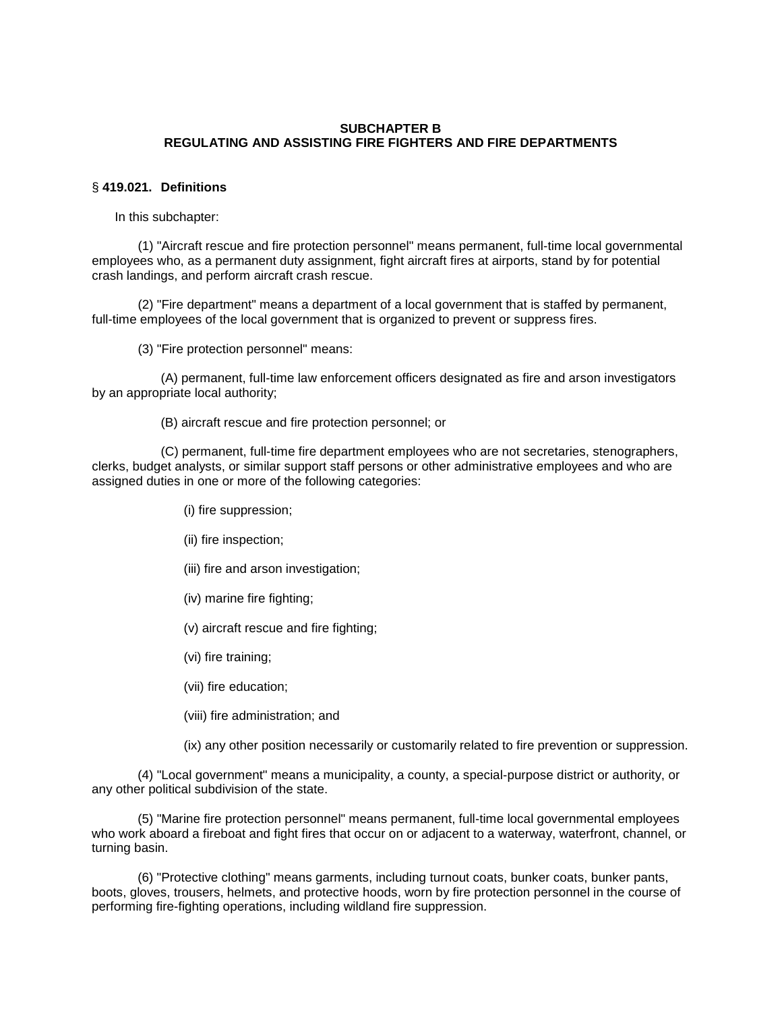# **SUBCHAPTER B REGULATING AND ASSISTING FIRE FIGHTERS AND FIRE DEPARTMENTS**

### § **419.021. Definitions**

In this subchapter:

(1) "Aircraft rescue and fire protection personnel" means permanent, full-time local governmental employees who, as a permanent duty assignment, fight aircraft fires at airports, stand by for potential crash landings, and perform aircraft crash rescue.

(2) "Fire department" means a department of a local government that is staffed by permanent, full-time employees of the local government that is organized to prevent or suppress fires.

(3) "Fire protection personnel" means:

(A) permanent, full-time law enforcement officers designated as fire and arson investigators by an appropriate local authority;

(B) aircraft rescue and fire protection personnel; or

(C) permanent, full-time fire department employees who are not secretaries, stenographers, clerks, budget analysts, or similar support staff persons or other administrative employees and who are assigned duties in one or more of the following categories:

- (i) fire suppression;
- (ii) fire inspection;
- (iii) fire and arson investigation;
- (iv) marine fire fighting;
- (v) aircraft rescue and fire fighting;
- (vi) fire training;
- (vii) fire education;
- (viii) fire administration; and

(ix) any other position necessarily or customarily related to fire prevention or suppression.

(4) "Local government" means a municipality, a county, a special-purpose district or authority, or any other political subdivision of the state.

(5) "Marine fire protection personnel" means permanent, full-time local governmental employees who work aboard a fireboat and fight fires that occur on or adjacent to a waterway, waterfront, channel, or turning basin.

(6) "Protective clothing" means garments, including turnout coats, bunker coats, bunker pants, boots, gloves, trousers, helmets, and protective hoods, worn by fire protection personnel in the course of performing fire-fighting operations, including wildland fire suppression.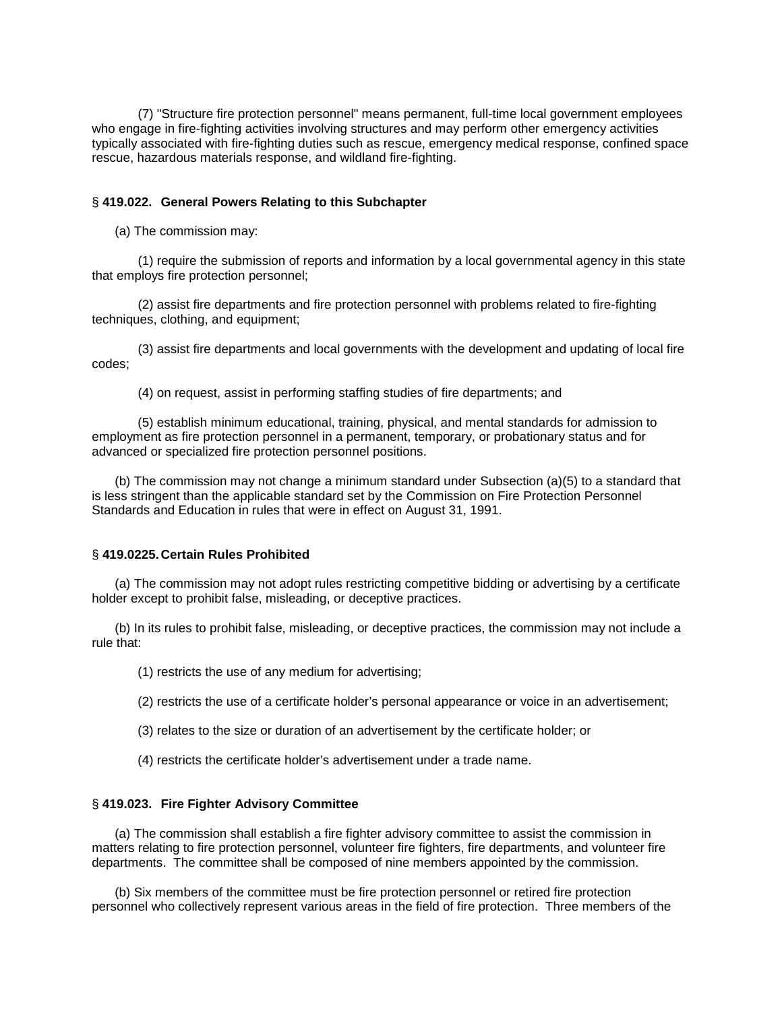(7) "Structure fire protection personnel" means permanent, full-time local government employees who engage in fire-fighting activities involving structures and may perform other emergency activities typically associated with fire-fighting duties such as rescue, emergency medical response, confined space rescue, hazardous materials response, and wildland fire-fighting.

#### § **419.022. General Powers Relating to this Subchapter**

(a) The commission may:

(1) require the submission of reports and information by a local governmental agency in this state that employs fire protection personnel;

(2) assist fire departments and fire protection personnel with problems related to fire-fighting techniques, clothing, and equipment;

(3) assist fire departments and local governments with the development and updating of local fire codes;

(4) on request, assist in performing staffing studies of fire departments; and

(5) establish minimum educational, training, physical, and mental standards for admission to employment as fire protection personnel in a permanent, temporary, or probationary status and for advanced or specialized fire protection personnel positions.

(b) The commission may not change a minimum standard under Subsection (a)(5) to a standard that is less stringent than the applicable standard set by the Commission on Fire Protection Personnel Standards and Education in rules that were in effect on August 31, 1991.

### § **419.0225.Certain Rules Prohibited**

(a) The commission may not adopt rules restricting competitive bidding or advertising by a certificate holder except to prohibit false, misleading, or deceptive practices.

(b) In its rules to prohibit false, misleading, or deceptive practices, the commission may not include a rule that:

(1) restricts the use of any medium for advertising;

(2) restricts the use of a certificate holder's personal appearance or voice in an advertisement;

(3) relates to the size or duration of an advertisement by the certificate holder; or

(4) restricts the certificate holder's advertisement under a trade name.

### § **419.023. Fire Fighter Advisory Committee**

(a) The commission shall establish a fire fighter advisory committee to assist the commission in matters relating to fire protection personnel, volunteer fire fighters, fire departments, and volunteer fire departments. The committee shall be composed of nine members appointed by the commission.

(b) Six members of the committee must be fire protection personnel or retired fire protection personnel who collectively represent various areas in the field of fire protection. Three members of the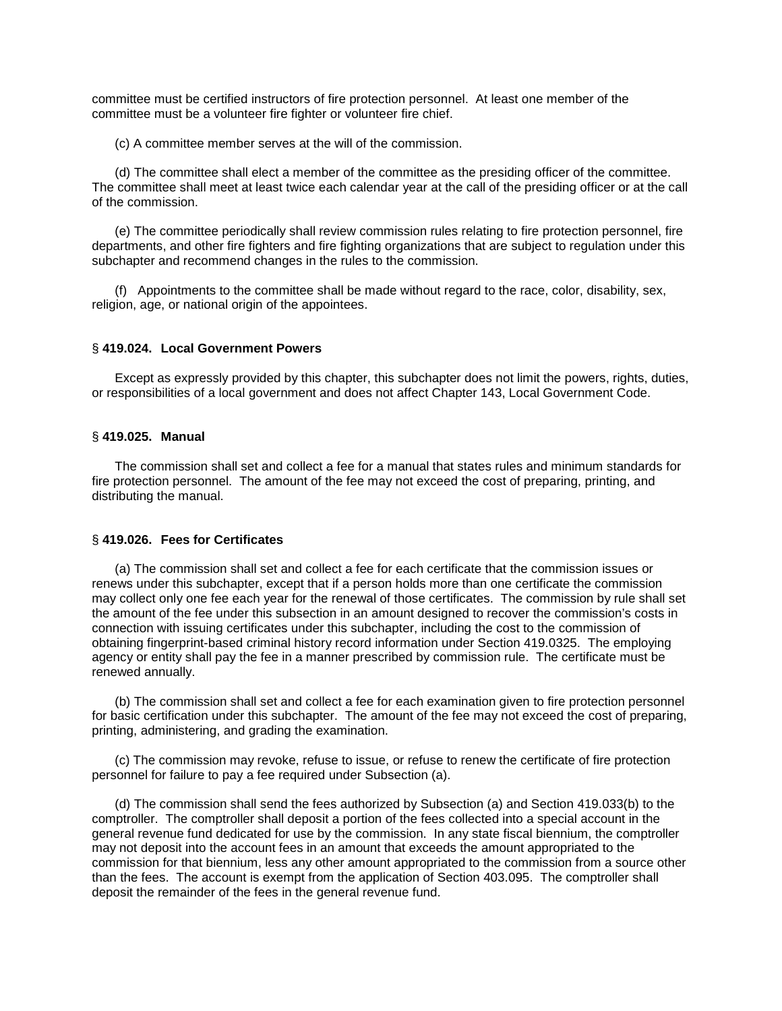committee must be certified instructors of fire protection personnel. At least one member of the committee must be a volunteer fire fighter or volunteer fire chief.

(c) A committee member serves at the will of the commission.

(d) The committee shall elect a member of the committee as the presiding officer of the committee. The committee shall meet at least twice each calendar year at the call of the presiding officer or at the call of the commission.

(e) The committee periodically shall review commission rules relating to fire protection personnel, fire departments, and other fire fighters and fire fighting organizations that are subject to regulation under this subchapter and recommend changes in the rules to the commission.

(f) Appointments to the committee shall be made without regard to the race, color, disability, sex, religion, age, or national origin of the appointees.

#### § **419.024. Local Government Powers**

Except as expressly provided by this chapter, this subchapter does not limit the powers, rights, duties, or responsibilities of a local government and does not affect Chapter 143, Local Government Code.

#### § **419.025. Manual**

The commission shall set and collect a fee for a manual that states rules and minimum standards for fire protection personnel. The amount of the fee may not exceed the cost of preparing, printing, and distributing the manual.

#### § **419.026. Fees for Certificates**

(a) The commission shall set and collect a fee for each certificate that the commission issues or renews under this subchapter, except that if a person holds more than one certificate the commission may collect only one fee each year for the renewal of those certificates. The commission by rule shall set the amount of the fee under this subsection in an amount designed to recover the commission's costs in connection with issuing certificates under this subchapter, including the cost to the commission of obtaining fingerprint-based criminal history record information under Section 419.0325. The employing agency or entity shall pay the fee in a manner prescribed by commission rule. The certificate must be renewed annually.

(b) The commission shall set and collect a fee for each examination given to fire protection personnel for basic certification under this subchapter. The amount of the fee may not exceed the cost of preparing, printing, administering, and grading the examination.

(c) The commission may revoke, refuse to issue, or refuse to renew the certificate of fire protection personnel for failure to pay a fee required under Subsection (a).

(d) The commission shall send the fees authorized by Subsection (a) and Section 419.033(b) to the comptroller. The comptroller shall deposit a portion of the fees collected into a special account in the general revenue fund dedicated for use by the commission. In any state fiscal biennium, the comptroller may not deposit into the account fees in an amount that exceeds the amount appropriated to the commission for that biennium, less any other amount appropriated to the commission from a source other than the fees. The account is exempt from the application of Section 403.095. The comptroller shall deposit the remainder of the fees in the general revenue fund.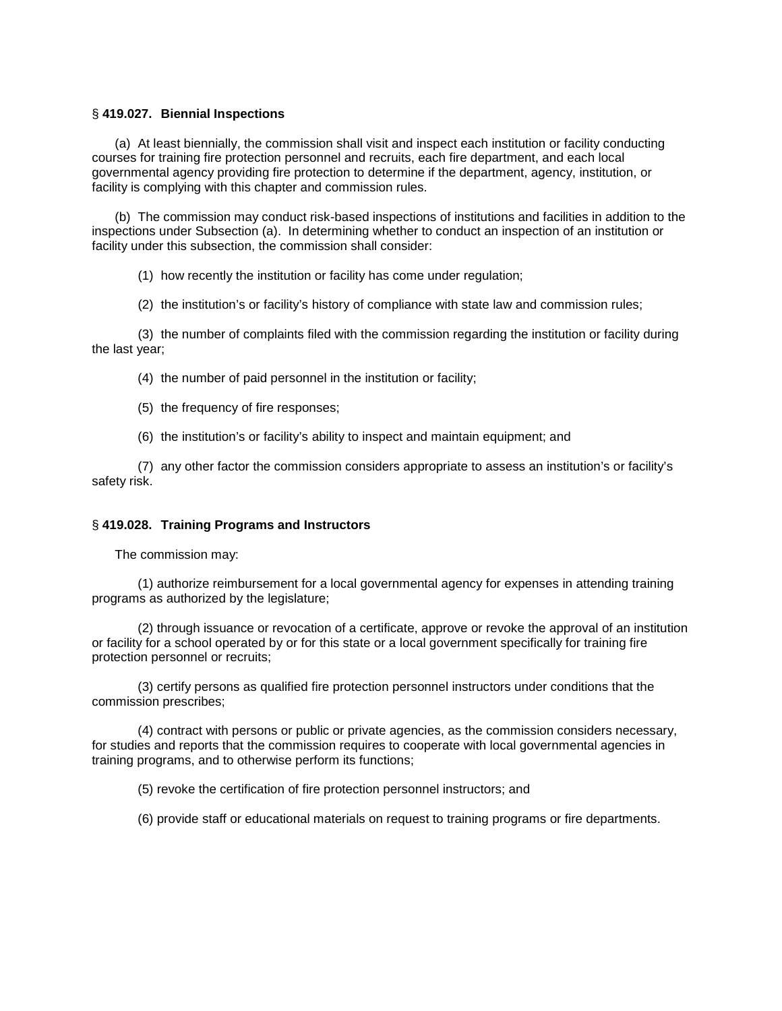# § **419.027. Biennial Inspections**

(a) At least biennially, the commission shall visit and inspect each institution or facility conducting courses for training fire protection personnel and recruits, each fire department, and each local governmental agency providing fire protection to determine if the department, agency, institution, or facility is complying with this chapter and commission rules.

(b) The commission may conduct risk-based inspections of institutions and facilities in addition to the inspections under Subsection (a). In determining whether to conduct an inspection of an institution or facility under this subsection, the commission shall consider:

(1) how recently the institution or facility has come under regulation;

(2) the institution's or facility's history of compliance with state law and commission rules;

(3) the number of complaints filed with the commission regarding the institution or facility during the last year;

(4) the number of paid personnel in the institution or facility;

- (5) the frequency of fire responses;
- (6) the institution's or facility's ability to inspect and maintain equipment; and

(7) any other factor the commission considers appropriate to assess an institution's or facility's safety risk.

#### § **419.028. Training Programs and Instructors**

The commission may:

(1) authorize reimbursement for a local governmental agency for expenses in attending training programs as authorized by the legislature;

(2) through issuance or revocation of a certificate, approve or revoke the approval of an institution or facility for a school operated by or for this state or a local government specifically for training fire protection personnel or recruits;

(3) certify persons as qualified fire protection personnel instructors under conditions that the commission prescribes;

(4) contract with persons or public or private agencies, as the commission considers necessary, for studies and reports that the commission requires to cooperate with local governmental agencies in training programs, and to otherwise perform its functions;

(5) revoke the certification of fire protection personnel instructors; and

(6) provide staff or educational materials on request to training programs or fire departments.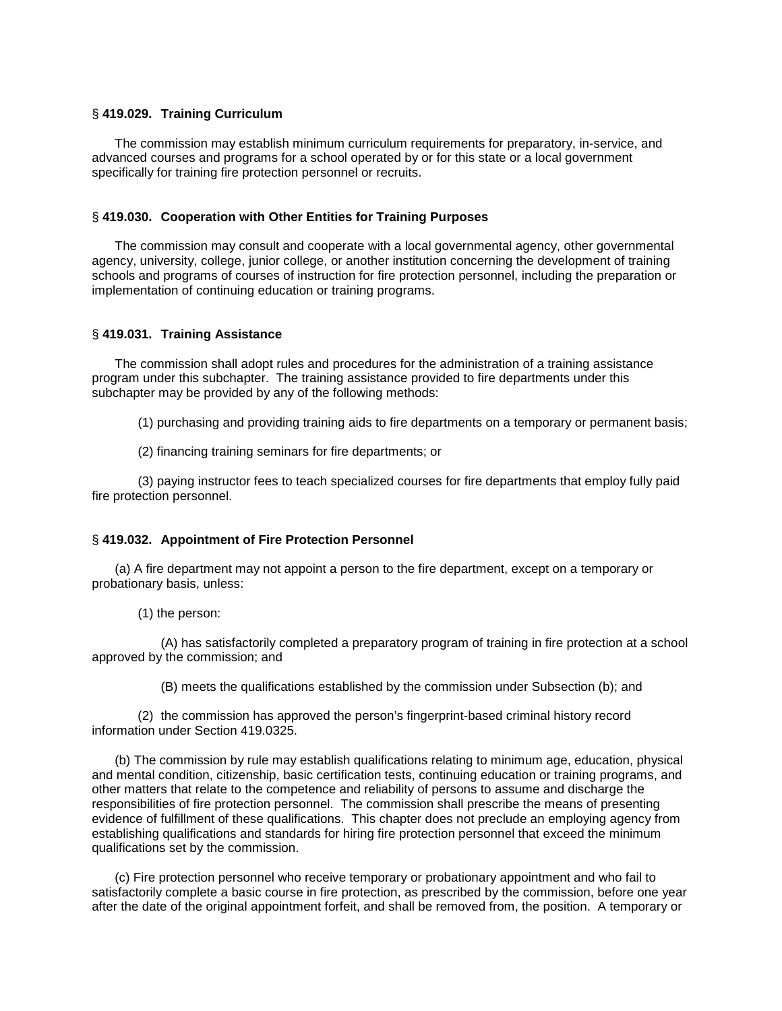# § **419.029. Training Curriculum**

The commission may establish minimum curriculum requirements for preparatory, in-service, and advanced courses and programs for a school operated by or for this state or a local government specifically for training fire protection personnel or recruits.

### § **419.030. Cooperation with Other Entities for Training Purposes**

The commission may consult and cooperate with a local governmental agency, other governmental agency, university, college, junior college, or another institution concerning the development of training schools and programs of courses of instruction for fire protection personnel, including the preparation or implementation of continuing education or training programs.

### § **419.031. Training Assistance**

The commission shall adopt rules and procedures for the administration of a training assistance program under this subchapter. The training assistance provided to fire departments under this subchapter may be provided by any of the following methods:

(1) purchasing and providing training aids to fire departments on a temporary or permanent basis;

(2) financing training seminars for fire departments; or

(3) paying instructor fees to teach specialized courses for fire departments that employ fully paid fire protection personnel.

#### § **419.032. Appointment of Fire Protection Personnel**

(a) A fire department may not appoint a person to the fire department, except on a temporary or probationary basis, unless:

(1) the person:

(A) has satisfactorily completed a preparatory program of training in fire protection at a school approved by the commission; and

(B) meets the qualifications established by the commission under Subsection (b); and

(2) the commission has approved the person's fingerprint-based criminal history record information under Section 419.0325.

(b) The commission by rule may establish qualifications relating to minimum age, education, physical and mental condition, citizenship, basic certification tests, continuing education or training programs, and other matters that relate to the competence and reliability of persons to assume and discharge the responsibilities of fire protection personnel. The commission shall prescribe the means of presenting evidence of fulfillment of these qualifications. This chapter does not preclude an employing agency from establishing qualifications and standards for hiring fire protection personnel that exceed the minimum qualifications set by the commission.

(c) Fire protection personnel who receive temporary or probationary appointment and who fail to satisfactorily complete a basic course in fire protection, as prescribed by the commission, before one year after the date of the original appointment forfeit, and shall be removed from, the position. A temporary or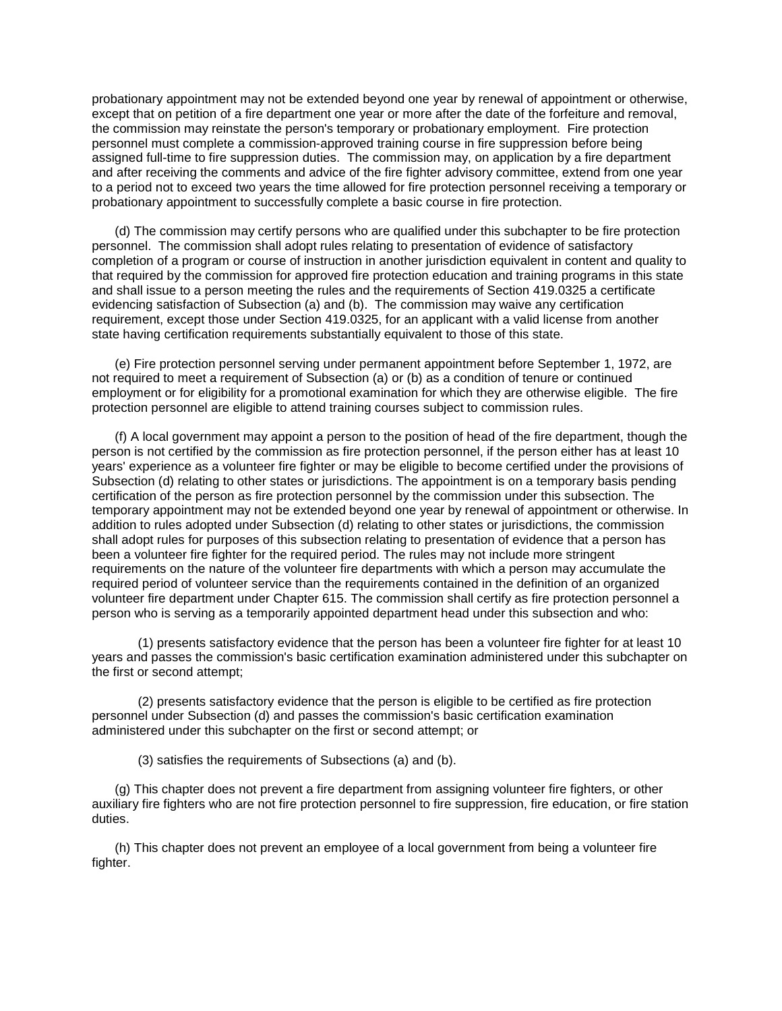probationary appointment may not be extended beyond one year by renewal of appointment or otherwise, except that on petition of a fire department one year or more after the date of the forfeiture and removal, the commission may reinstate the person's temporary or probationary employment. Fire protection personnel must complete a commission-approved training course in fire suppression before being assigned full-time to fire suppression duties. The commission may, on application by a fire department and after receiving the comments and advice of the fire fighter advisory committee, extend from one year to a period not to exceed two years the time allowed for fire protection personnel receiving a temporary or probationary appointment to successfully complete a basic course in fire protection.

(d) The commission may certify persons who are qualified under this subchapter to be fire protection personnel. The commission shall adopt rules relating to presentation of evidence of satisfactory completion of a program or course of instruction in another jurisdiction equivalent in content and quality to that required by the commission for approved fire protection education and training programs in this state and shall issue to a person meeting the rules and the requirements of Section 419.0325 a certificate evidencing satisfaction of Subsection (a) and (b). The commission may waive any certification requirement, except those under Section 419.0325, for an applicant with a valid license from another state having certification requirements substantially equivalent to those of this state.

(e) Fire protection personnel serving under permanent appointment before September 1, 1972, are not required to meet a requirement of Subsection (a) or (b) as a condition of tenure or continued employment or for eligibility for a promotional examination for which they are otherwise eligible. The fire protection personnel are eligible to attend training courses subject to commission rules.

(f) A local government may appoint a person to the position of head of the fire department, though the person is not certified by the commission as fire protection personnel, if the person either has at least 10 years' experience as a volunteer fire fighter or may be eligible to become certified under the provisions of Subsection (d) relating to other states or jurisdictions. The appointment is on a temporary basis pending certification of the person as fire protection personnel by the commission under this subsection. The temporary appointment may not be extended beyond one year by renewal of appointment or otherwise. In addition to rules adopted under Subsection (d) relating to other states or jurisdictions, the commission shall adopt rules for purposes of this subsection relating to presentation of evidence that a person has been a volunteer fire fighter for the required period. The rules may not include more stringent requirements on the nature of the volunteer fire departments with which a person may accumulate the required period of volunteer service than the requirements contained in the definition of an organized volunteer fire department under Chapter 615. The commission shall certify as fire protection personnel a person who is serving as a temporarily appointed department head under this subsection and who:

(1) presents satisfactory evidence that the person has been a volunteer fire fighter for at least 10 years and passes the commission's basic certification examination administered under this subchapter on the first or second attempt;

(2) presents satisfactory evidence that the person is eligible to be certified as fire protection personnel under Subsection (d) and passes the commission's basic certification examination administered under this subchapter on the first or second attempt; or

(3) satisfies the requirements of Subsections (a) and (b).

(g) This chapter does not prevent a fire department from assigning volunteer fire fighters, or other auxiliary fire fighters who are not fire protection personnel to fire suppression, fire education, or fire station duties.

(h) This chapter does not prevent an employee of a local government from being a volunteer fire fighter.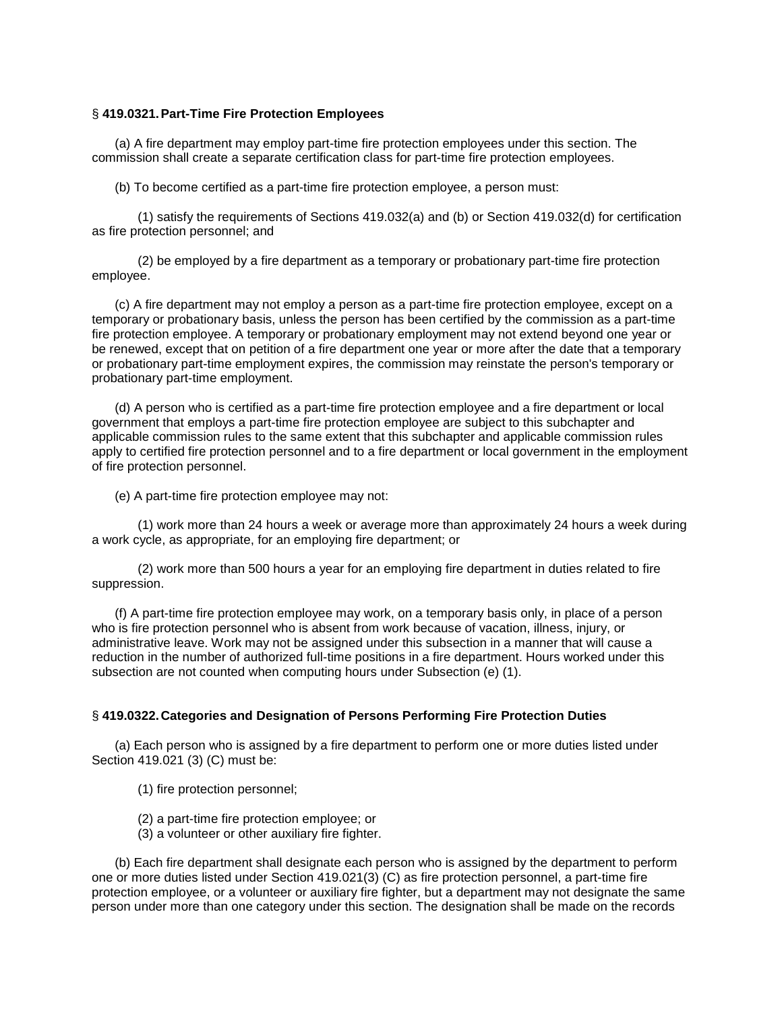### § **419.0321.Part-Time Fire Protection Employees**

(a) A fire department may employ part-time fire protection employees under this section. The commission shall create a separate certification class for part-time fire protection employees.

(b) To become certified as a part-time fire protection employee, a person must:

(1) satisfy the requirements of Sections 419.032(a) and (b) or Section 419.032(d) for certification as fire protection personnel; and

(2) be employed by a fire department as a temporary or probationary part-time fire protection employee.

(c) A fire department may not employ a person as a part-time fire protection employee, except on a temporary or probationary basis, unless the person has been certified by the commission as a part-time fire protection employee. A temporary or probationary employment may not extend beyond one year or be renewed, except that on petition of a fire department one year or more after the date that a temporary or probationary part-time employment expires, the commission may reinstate the person's temporary or probationary part-time employment.

(d) A person who is certified as a part-time fire protection employee and a fire department or local government that employs a part-time fire protection employee are subject to this subchapter and applicable commission rules to the same extent that this subchapter and applicable commission rules apply to certified fire protection personnel and to a fire department or local government in the employment of fire protection personnel.

(e) A part-time fire protection employee may not:

(1) work more than 24 hours a week or average more than approximately 24 hours a week during a work cycle, as appropriate, for an employing fire department; or

(2) work more than 500 hours a year for an employing fire department in duties related to fire suppression.

(f) A part-time fire protection employee may work, on a temporary basis only, in place of a person who is fire protection personnel who is absent from work because of vacation, illness, injury, or administrative leave. Work may not be assigned under this subsection in a manner that will cause a reduction in the number of authorized full-time positions in a fire department. Hours worked under this subsection are not counted when computing hours under Subsection (e) (1).

# § **419.0322.Categories and Designation of Persons Performing Fire Protection Duties**

(a) Each person who is assigned by a fire department to perform one or more duties listed under Section 419.021 (3) (C) must be:

(1) fire protection personnel;

- (2) a part-time fire protection employee; or
- (3) a volunteer or other auxiliary fire fighter.

(b) Each fire department shall designate each person who is assigned by the department to perform one or more duties listed under Section 419.021(3) (C) as fire protection personnel, a part-time fire protection employee, or a volunteer or auxiliary fire fighter, but a department may not designate the same person under more than one category under this section. The designation shall be made on the records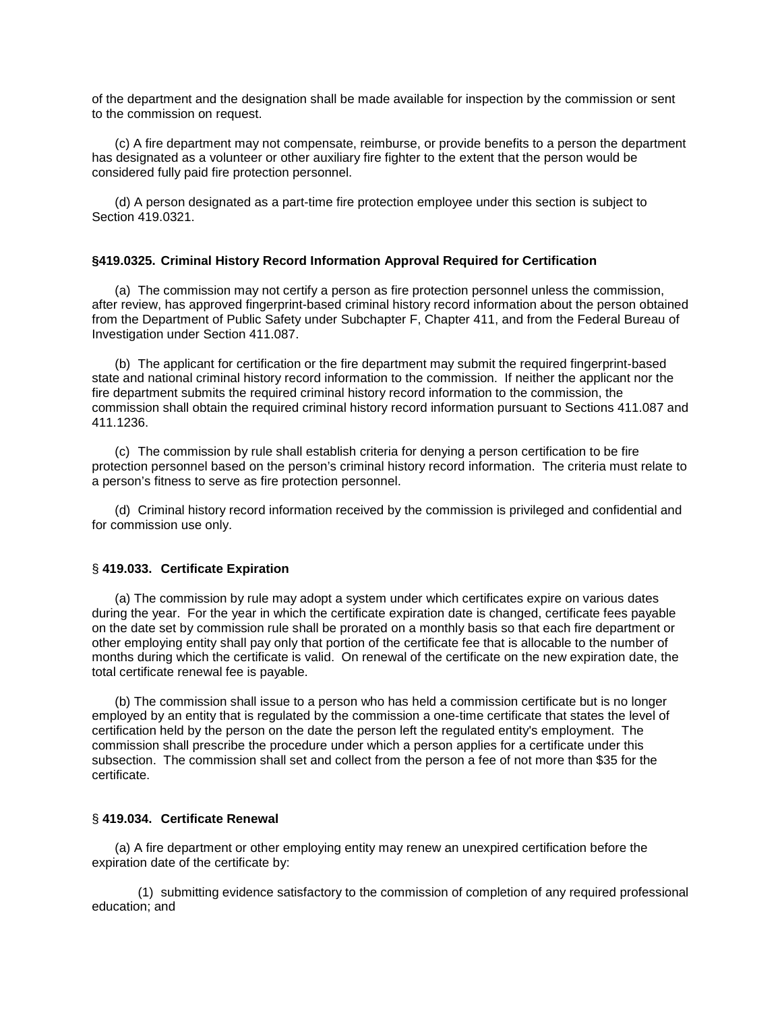of the department and the designation shall be made available for inspection by the commission or sent to the commission on request.

(c) A fire department may not compensate, reimburse, or provide benefits to a person the department has designated as a volunteer or other auxiliary fire fighter to the extent that the person would be considered fully paid fire protection personnel.

(d) A person designated as a part-time fire protection employee under this section is subject to Section 419.0321.

### **§419.0325. Criminal History Record Information Approval Required for Certification**

(a) The commission may not certify a person as fire protection personnel unless the commission, after review, has approved fingerprint-based criminal history record information about the person obtained from the Department of Public Safety under Subchapter F, Chapter 411, and from the Federal Bureau of Investigation under Section 411.087.

(b) The applicant for certification or the fire department may submit the required fingerprint-based state and national criminal history record information to the commission. If neither the applicant nor the fire department submits the required criminal history record information to the commission, the commission shall obtain the required criminal history record information pursuant to Sections 411.087 and 411.1236.

(c) The commission by rule shall establish criteria for denying a person certification to be fire protection personnel based on the person's criminal history record information. The criteria must relate to a person's fitness to serve as fire protection personnel.

(d) Criminal history record information received by the commission is privileged and confidential and for commission use only.

#### § **419.033. Certificate Expiration**

(a) The commission by rule may adopt a system under which certificates expire on various dates during the year. For the year in which the certificate expiration date is changed, certificate fees payable on the date set by commission rule shall be prorated on a monthly basis so that each fire department or other employing entity shall pay only that portion of the certificate fee that is allocable to the number of months during which the certificate is valid. On renewal of the certificate on the new expiration date, the total certificate renewal fee is payable.

(b) The commission shall issue to a person who has held a commission certificate but is no longer employed by an entity that is regulated by the commission a one-time certificate that states the level of certification held by the person on the date the person left the regulated entity's employment. The commission shall prescribe the procedure under which a person applies for a certificate under this subsection. The commission shall set and collect from the person a fee of not more than \$35 for the certificate.

#### § **419.034. Certificate Renewal**

(a) A fire department or other employing entity may renew an unexpired certification before the expiration date of the certificate by:

(1) submitting evidence satisfactory to the commission of completion of any required professional education; and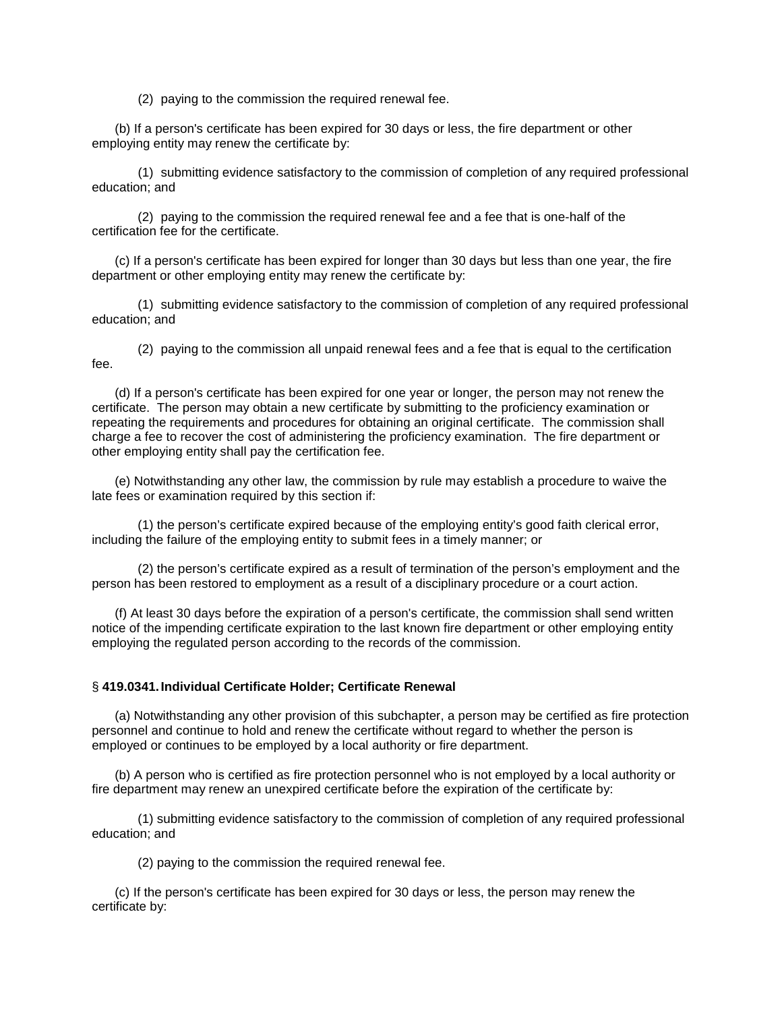(2) paying to the commission the required renewal fee.

(b) If a person's certificate has been expired for 30 days or less, the fire department or other employing entity may renew the certificate by:

(1) submitting evidence satisfactory to the commission of completion of any required professional education; and

(2) paying to the commission the required renewal fee and a fee that is one-half of the certification fee for the certificate.

(c) If a person's certificate has been expired for longer than 30 days but less than one year, the fire department or other employing entity may renew the certificate by:

(1) submitting evidence satisfactory to the commission of completion of any required professional education; and

(2) paying to the commission all unpaid renewal fees and a fee that is equal to the certification fee.

(d) If a person's certificate has been expired for one year or longer, the person may not renew the certificate. The person may obtain a new certificate by submitting to the proficiency examination or repeating the requirements and procedures for obtaining an original certificate. The commission shall charge a fee to recover the cost of administering the proficiency examination. The fire department or other employing entity shall pay the certification fee.

(e) Notwithstanding any other law, the commission by rule may establish a procedure to waive the late fees or examination required by this section if:

(1) the person's certificate expired because of the employing entity's good faith clerical error, including the failure of the employing entity to submit fees in a timely manner; or

(2) the person's certificate expired as a result of termination of the person's employment and the person has been restored to employment as a result of a disciplinary procedure or a court action.

(f) At least 30 days before the expiration of a person's certificate, the commission shall send written notice of the impending certificate expiration to the last known fire department or other employing entity employing the regulated person according to the records of the commission.

#### § **419.0341.Individual Certificate Holder; Certificate Renewal**

(a) Notwithstanding any other provision of this subchapter, a person may be certified as fire protection personnel and continue to hold and renew the certificate without regard to whether the person is employed or continues to be employed by a local authority or fire department.

(b) A person who is certified as fire protection personnel who is not employed by a local authority or fire department may renew an unexpired certificate before the expiration of the certificate by:

(1) submitting evidence satisfactory to the commission of completion of any required professional education; and

(2) paying to the commission the required renewal fee.

(c) If the person's certificate has been expired for 30 days or less, the person may renew the certificate by: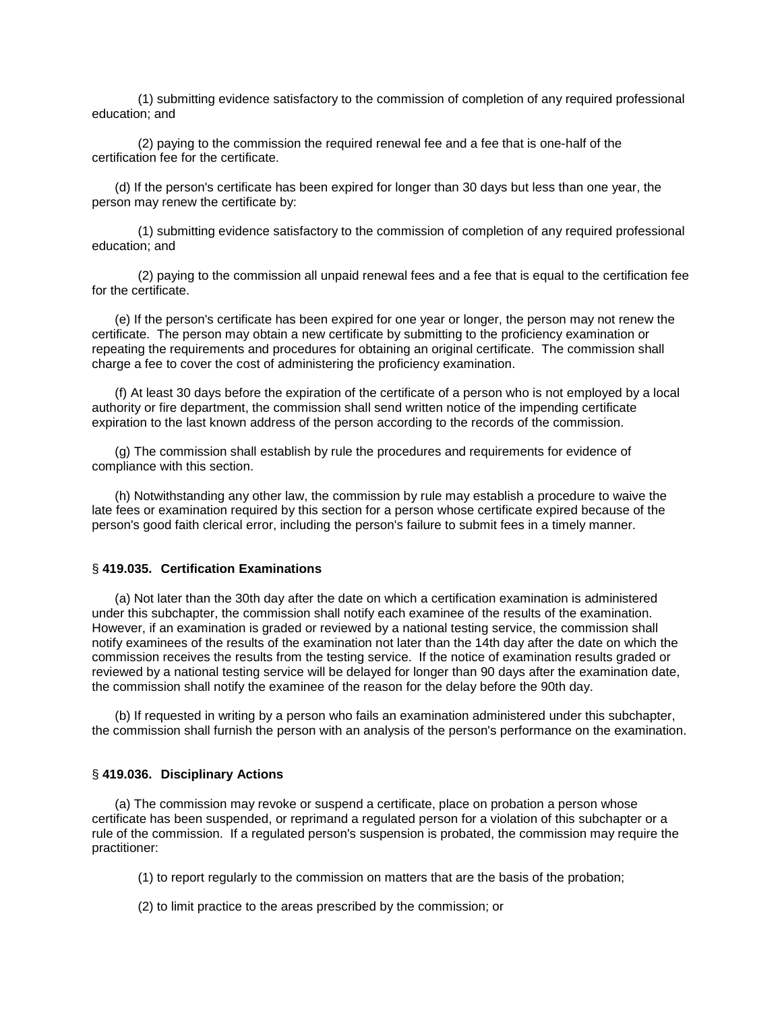(1) submitting evidence satisfactory to the commission of completion of any required professional education; and

(2) paying to the commission the required renewal fee and a fee that is one-half of the certification fee for the certificate.

(d) If the person's certificate has been expired for longer than 30 days but less than one year, the person may renew the certificate by:

(1) submitting evidence satisfactory to the commission of completion of any required professional education; and

(2) paying to the commission all unpaid renewal fees and a fee that is equal to the certification fee for the certificate.

(e) If the person's certificate has been expired for one year or longer, the person may not renew the certificate. The person may obtain a new certificate by submitting to the proficiency examination or repeating the requirements and procedures for obtaining an original certificate. The commission shall charge a fee to cover the cost of administering the proficiency examination.

(f) At least 30 days before the expiration of the certificate of a person who is not employed by a local authority or fire department, the commission shall send written notice of the impending certificate expiration to the last known address of the person according to the records of the commission.

(g) The commission shall establish by rule the procedures and requirements for evidence of compliance with this section.

(h) Notwithstanding any other law, the commission by rule may establish a procedure to waive the late fees or examination required by this section for a person whose certificate expired because of the person's good faith clerical error, including the person's failure to submit fees in a timely manner.

#### § **419.035. Certification Examinations**

(a) Not later than the 30th day after the date on which a certification examination is administered under this subchapter, the commission shall notify each examinee of the results of the examination. However, if an examination is graded or reviewed by a national testing service, the commission shall notify examinees of the results of the examination not later than the 14th day after the date on which the commission receives the results from the testing service. If the notice of examination results graded or reviewed by a national testing service will be delayed for longer than 90 days after the examination date, the commission shall notify the examinee of the reason for the delay before the 90th day.

(b) If requested in writing by a person who fails an examination administered under this subchapter, the commission shall furnish the person with an analysis of the person's performance on the examination.

#### § **419.036. Disciplinary Actions**

(a) The commission may revoke or suspend a certificate, place on probation a person whose certificate has been suspended, or reprimand a regulated person for a violation of this subchapter or a rule of the commission. If a regulated person's suspension is probated, the commission may require the practitioner:

- (1) to report regularly to the commission on matters that are the basis of the probation;
- (2) to limit practice to the areas prescribed by the commission; or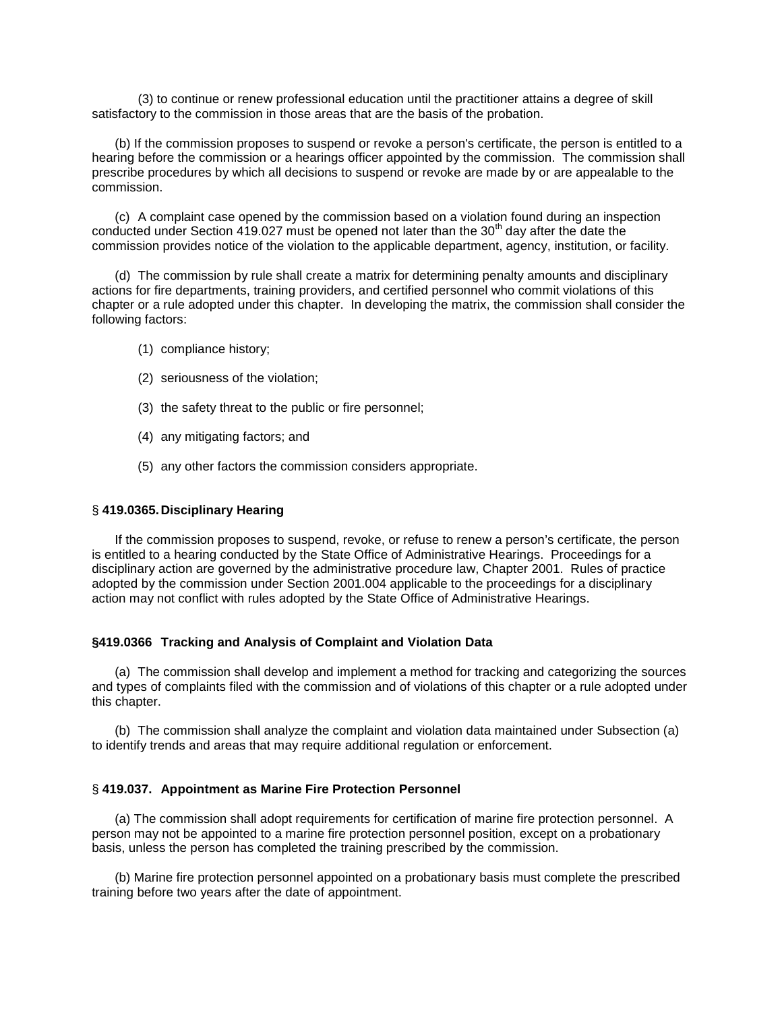(3) to continue or renew professional education until the practitioner attains a degree of skill satisfactory to the commission in those areas that are the basis of the probation.

(b) If the commission proposes to suspend or revoke a person's certificate, the person is entitled to a hearing before the commission or a hearings officer appointed by the commission. The commission shall prescribe procedures by which all decisions to suspend or revoke are made by or are appealable to the commission.

(c) A complaint case opened by the commission based on a violation found during an inspection conducted under Section 419.027 must be opened not later than the  $30<sup>th</sup>$  day after the date the commission provides notice of the violation to the applicable department, agency, institution, or facility.

(d) The commission by rule shall create a matrix for determining penalty amounts and disciplinary actions for fire departments, training providers, and certified personnel who commit violations of this chapter or a rule adopted under this chapter. In developing the matrix, the commission shall consider the following factors:

- (1) compliance history;
- (2) seriousness of the violation;
- (3) the safety threat to the public or fire personnel;
- (4) any mitigating factors; and
- (5) any other factors the commission considers appropriate.

#### § **419.0365.Disciplinary Hearing**

If the commission proposes to suspend, revoke, or refuse to renew a person's certificate, the person is entitled to a hearing conducted by the State Office of Administrative Hearings. Proceedings for a disciplinary action are governed by the administrative procedure law, Chapter 2001. Rules of practice adopted by the commission under Section 2001.004 applicable to the proceedings for a disciplinary action may not conflict with rules adopted by the State Office of Administrative Hearings.

#### **§419.0366 Tracking and Analysis of Complaint and Violation Data**

(a) The commission shall develop and implement a method for tracking and categorizing the sources and types of complaints filed with the commission and of violations of this chapter or a rule adopted under this chapter.

(b) The commission shall analyze the complaint and violation data maintained under Subsection (a) to identify trends and areas that may require additional regulation or enforcement.

### § **419.037. Appointment as Marine Fire Protection Personnel**

(a) The commission shall adopt requirements for certification of marine fire protection personnel. A person may not be appointed to a marine fire protection personnel position, except on a probationary basis, unless the person has completed the training prescribed by the commission.

(b) Marine fire protection personnel appointed on a probationary basis must complete the prescribed training before two years after the date of appointment.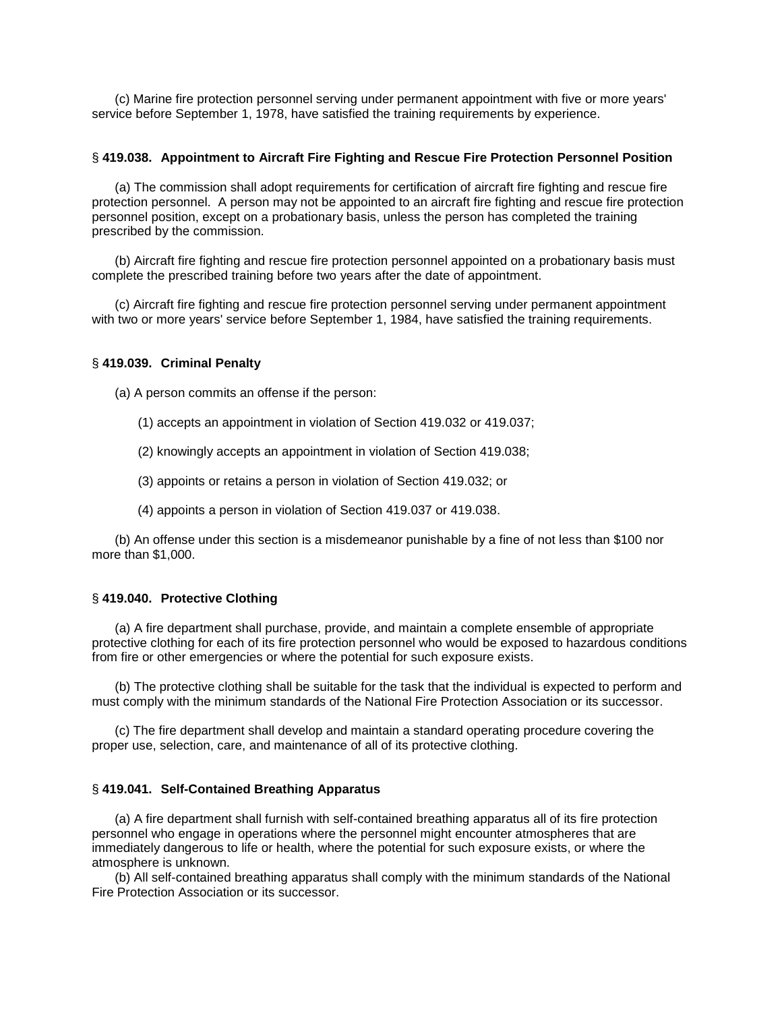(c) Marine fire protection personnel serving under permanent appointment with five or more years' service before September 1, 1978, have satisfied the training requirements by experience.

### § **419.038. Appointment to Aircraft Fire Fighting and Rescue Fire Protection Personnel Position**

(a) The commission shall adopt requirements for certification of aircraft fire fighting and rescue fire protection personnel. A person may not be appointed to an aircraft fire fighting and rescue fire protection personnel position, except on a probationary basis, unless the person has completed the training prescribed by the commission.

(b) Aircraft fire fighting and rescue fire protection personnel appointed on a probationary basis must complete the prescribed training before two years after the date of appointment.

(c) Aircraft fire fighting and rescue fire protection personnel serving under permanent appointment with two or more years' service before September 1, 1984, have satisfied the training requirements.

#### § **419.039. Criminal Penalty**

(a) A person commits an offense if the person:

- (1) accepts an appointment in violation of Section 419.032 or 419.037;
- (2) knowingly accepts an appointment in violation of Section 419.038;
- (3) appoints or retains a person in violation of Section 419.032; or
- (4) appoints a person in violation of Section 419.037 or 419.038.

(b) An offense under this section is a misdemeanor punishable by a fine of not less than \$100 nor more than \$1,000.

### § **419.040. Protective Clothing**

(a) A fire department shall purchase, provide, and maintain a complete ensemble of appropriate protective clothing for each of its fire protection personnel who would be exposed to hazardous conditions from fire or other emergencies or where the potential for such exposure exists.

(b) The protective clothing shall be suitable for the task that the individual is expected to perform and must comply with the minimum standards of the National Fire Protection Association or its successor.

(c) The fire department shall develop and maintain a standard operating procedure covering the proper use, selection, care, and maintenance of all of its protective clothing.

### § **419.041. Self-Contained Breathing Apparatus**

(a) A fire department shall furnish with self-contained breathing apparatus all of its fire protection personnel who engage in operations where the personnel might encounter atmospheres that are immediately dangerous to life or health, where the potential for such exposure exists, or where the atmosphere is unknown.

(b) All self-contained breathing apparatus shall comply with the minimum standards of the National Fire Protection Association or its successor.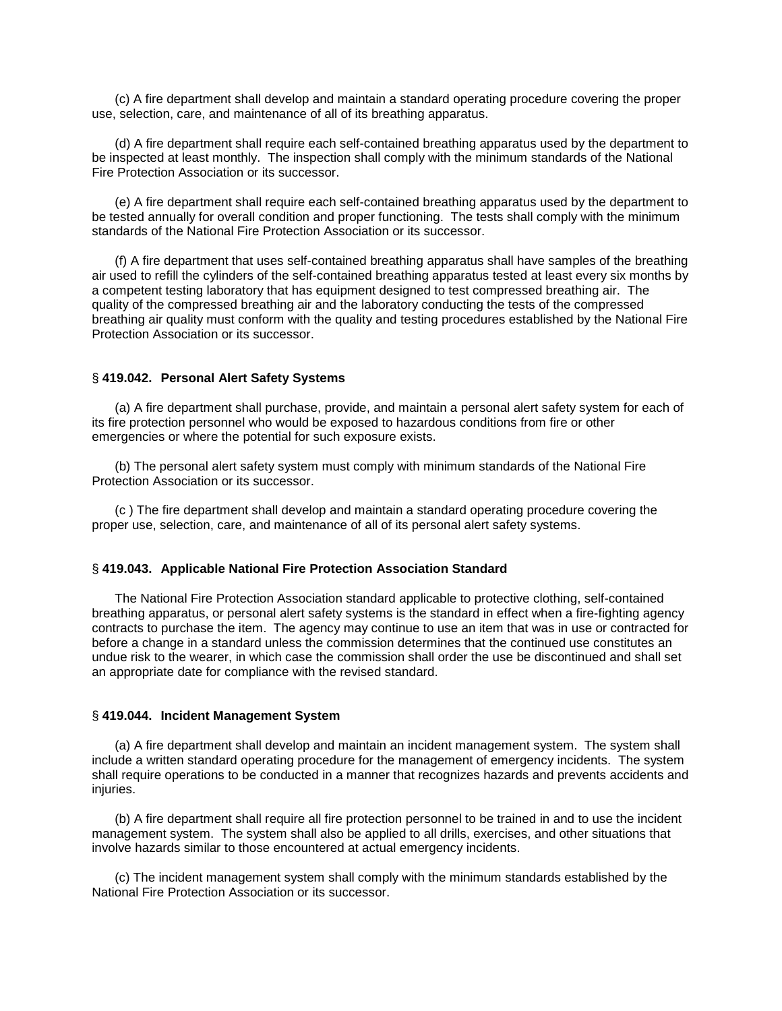(c) A fire department shall develop and maintain a standard operating procedure covering the proper use, selection, care, and maintenance of all of its breathing apparatus.

(d) A fire department shall require each self-contained breathing apparatus used by the department to be inspected at least monthly. The inspection shall comply with the minimum standards of the National Fire Protection Association or its successor.

(e) A fire department shall require each self-contained breathing apparatus used by the department to be tested annually for overall condition and proper functioning. The tests shall comply with the minimum standards of the National Fire Protection Association or its successor.

(f) A fire department that uses self-contained breathing apparatus shall have samples of the breathing air used to refill the cylinders of the self-contained breathing apparatus tested at least every six months by a competent testing laboratory that has equipment designed to test compressed breathing air. The quality of the compressed breathing air and the laboratory conducting the tests of the compressed breathing air quality must conform with the quality and testing procedures established by the National Fire Protection Association or its successor.

# § **419.042. Personal Alert Safety Systems**

(a) A fire department shall purchase, provide, and maintain a personal alert safety system for each of its fire protection personnel who would be exposed to hazardous conditions from fire or other emergencies or where the potential for such exposure exists.

(b) The personal alert safety system must comply with minimum standards of the National Fire Protection Association or its successor.

(c ) The fire department shall develop and maintain a standard operating procedure covering the proper use, selection, care, and maintenance of all of its personal alert safety systems.

#### § **419.043. Applicable National Fire Protection Association Standard**

The National Fire Protection Association standard applicable to protective clothing, self-contained breathing apparatus, or personal alert safety systems is the standard in effect when a fire-fighting agency contracts to purchase the item. The agency may continue to use an item that was in use or contracted for before a change in a standard unless the commission determines that the continued use constitutes an undue risk to the wearer, in which case the commission shall order the use be discontinued and shall set an appropriate date for compliance with the revised standard.

# § **419.044. Incident Management System**

(a) A fire department shall develop and maintain an incident management system. The system shall include a written standard operating procedure for the management of emergency incidents. The system shall require operations to be conducted in a manner that recognizes hazards and prevents accidents and iniuries.

(b) A fire department shall require all fire protection personnel to be trained in and to use the incident management system. The system shall also be applied to all drills, exercises, and other situations that involve hazards similar to those encountered at actual emergency incidents.

(c) The incident management system shall comply with the minimum standards established by the National Fire Protection Association or its successor.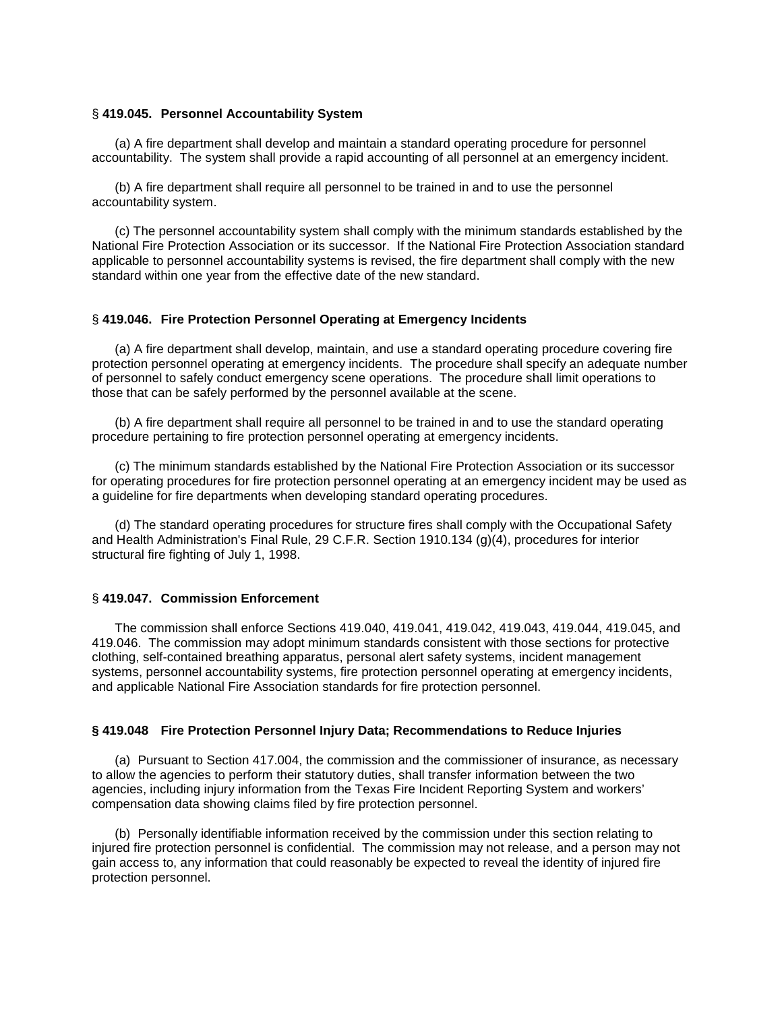#### § **419.045. Personnel Accountability System**

(a) A fire department shall develop and maintain a standard operating procedure for personnel accountability. The system shall provide a rapid accounting of all personnel at an emergency incident.

(b) A fire department shall require all personnel to be trained in and to use the personnel accountability system.

(c) The personnel accountability system shall comply with the minimum standards established by the National Fire Protection Association or its successor. If the National Fire Protection Association standard applicable to personnel accountability systems is revised, the fire department shall comply with the new standard within one year from the effective date of the new standard.

# § **419.046. Fire Protection Personnel Operating at Emergency Incidents**

(a) A fire department shall develop, maintain, and use a standard operating procedure covering fire protection personnel operating at emergency incidents. The procedure shall specify an adequate number of personnel to safely conduct emergency scene operations. The procedure shall limit operations to those that can be safely performed by the personnel available at the scene.

(b) A fire department shall require all personnel to be trained in and to use the standard operating procedure pertaining to fire protection personnel operating at emergency incidents.

(c) The minimum standards established by the National Fire Protection Association or its successor for operating procedures for fire protection personnel operating at an emergency incident may be used as a guideline for fire departments when developing standard operating procedures.

(d) The standard operating procedures for structure fires shall comply with the Occupational Safety and Health Administration's Final Rule, 29 C.F.R. Section 1910.134 (g)(4), procedures for interior structural fire fighting of July 1, 1998.

#### § **419.047. Commission Enforcement**

The commission shall enforce Sections 419.040, 419.041, 419.042, 419.043, 419.044, 419.045, and 419.046. The commission may adopt minimum standards consistent with those sections for protective clothing, self-contained breathing apparatus, personal alert safety systems, incident management systems, personnel accountability systems, fire protection personnel operating at emergency incidents, and applicable National Fire Association standards for fire protection personnel.

### **§ 419.048 Fire Protection Personnel Injury Data; Recommendations to Reduce Injuries**

(a) Pursuant to Section 417.004, the commission and the commissioner of insurance, as necessary to allow the agencies to perform their statutory duties, shall transfer information between the two agencies, including injury information from the Texas Fire Incident Reporting System and workers' compensation data showing claims filed by fire protection personnel.

(b) Personally identifiable information received by the commission under this section relating to injured fire protection personnel is confidential. The commission may not release, and a person may not gain access to, any information that could reasonably be expected to reveal the identity of injured fire protection personnel.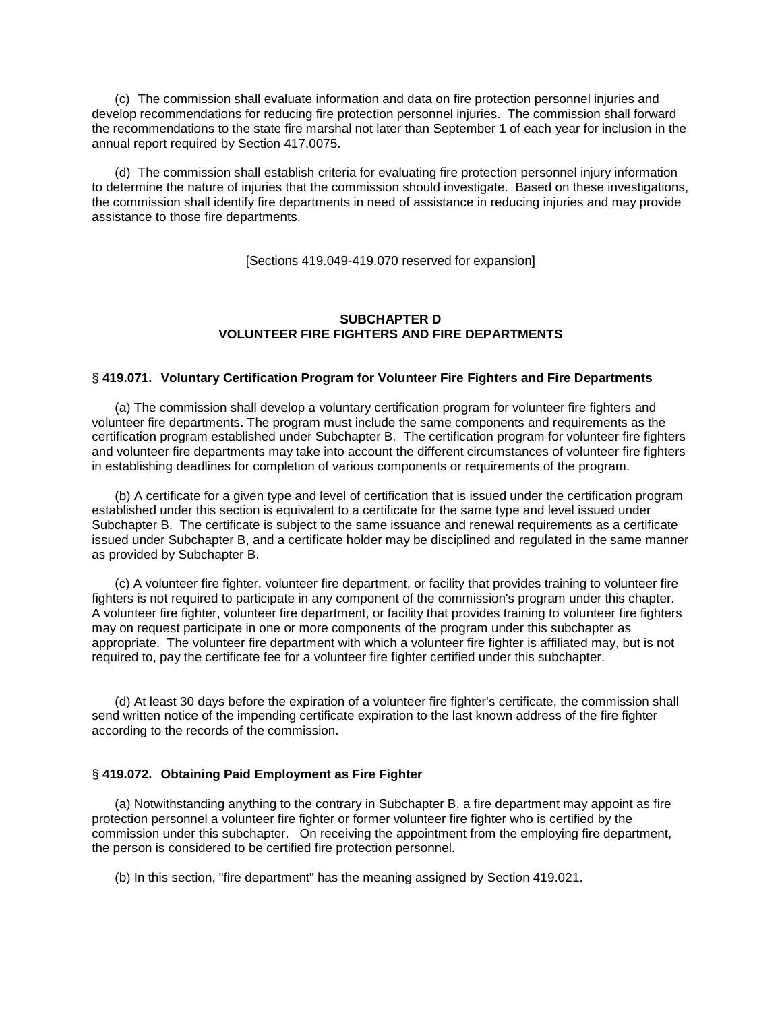(c) The commission shall evaluate information and data on fire protection personnel injuries and develop recommendations for reducing fire protection personnel injuries. The commission shall forward the recommendations to the state fire marshal not later than September 1 of each year for inclusion in the annual report required by Section 417.0075.

(d) The commission shall establish criteria for evaluating fire protection personnel injury information to determine the nature of injuries that the commission should investigate. Based on these investigations, the commission shall identify fire departments in need of assistance in reducing injuries and may provide assistance to those fire departments.

[Sections 419.049-419.070 reserved for expansion]

# **SUBCHAPTER D VOLUNTEER FIRE FIGHTERS AND FIRE DEPARTMENTS**

### § **419.071. Voluntary Certification Program for Volunteer Fire Fighters and Fire Departments**

(a) The commission shall develop a voluntary certification program for volunteer fire fighters and volunteer fire departments. The program must include the same components and requirements as the certification program established under Subchapter B. The certification program for volunteer fire fighters and volunteer fire departments may take into account the different circumstances of volunteer fire fighters in establishing deadlines for completion of various components or requirements of the program.

(b) A certificate for a given type and level of certification that is issued under the certification program established under this section is equivalent to a certificate for the same type and level issued under Subchapter B. The certificate is subject to the same issuance and renewal requirements as a certificate issued under Subchapter B, and a certificate holder may be disciplined and regulated in the same manner as provided by Subchapter B.

(c) A volunteer fire fighter, volunteer fire department, or facility that provides training to volunteer fire fighters is not required to participate in any component of the commission's program under this chapter. A volunteer fire fighter, volunteer fire department, or facility that provides training to volunteer fire fighters may on request participate in one or more components of the program under this subchapter as appropriate. The volunteer fire department with which a volunteer fire fighter is affiliated may, but is not required to, pay the certificate fee for a volunteer fire fighter certified under this subchapter.

(d) At least 30 days before the expiration of a volunteer fire fighter's certificate, the commission shall send written notice of the impending certificate expiration to the last known address of the fire fighter according to the records of the commission.

### § **419.072. Obtaining Paid Employment as Fire Fighter**

(a) Notwithstanding anything to the contrary in Subchapter B, a fire department may appoint as fire protection personnel a volunteer fire fighter or former volunteer fire fighter who is certified by the commission under this subchapter. On receiving the appointment from the employing fire department, the person is considered to be certified fire protection personnel.

(b) In this section, "fire department" has the meaning assigned by Section 419.021.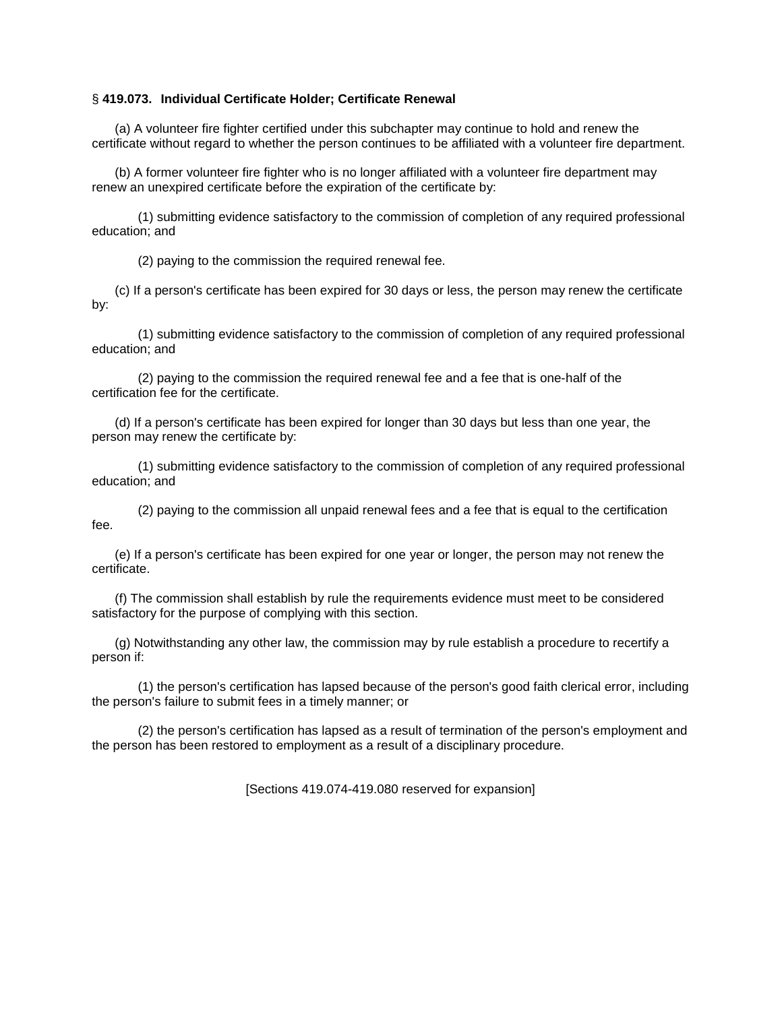### § **419.073. Individual Certificate Holder; Certificate Renewal**

(a) A volunteer fire fighter certified under this subchapter may continue to hold and renew the certificate without regard to whether the person continues to be affiliated with a volunteer fire department.

(b) A former volunteer fire fighter who is no longer affiliated with a volunteer fire department may renew an unexpired certificate before the expiration of the certificate by:

(1) submitting evidence satisfactory to the commission of completion of any required professional education; and

(2) paying to the commission the required renewal fee.

(c) If a person's certificate has been expired for 30 days or less, the person may renew the certificate by:

(1) submitting evidence satisfactory to the commission of completion of any required professional education; and

(2) paying to the commission the required renewal fee and a fee that is one-half of the certification fee for the certificate.

(d) If a person's certificate has been expired for longer than 30 days but less than one year, the person may renew the certificate by:

(1) submitting evidence satisfactory to the commission of completion of any required professional education; and

(2) paying to the commission all unpaid renewal fees and a fee that is equal to the certification fee.

(e) If a person's certificate has been expired for one year or longer, the person may not renew the certificate.

(f) The commission shall establish by rule the requirements evidence must meet to be considered satisfactory for the purpose of complying with this section.

(g) Notwithstanding any other law, the commission may by rule establish a procedure to recertify a person if:

(1) the person's certification has lapsed because of the person's good faith clerical error, including the person's failure to submit fees in a timely manner; or

(2) the person's certification has lapsed as a result of termination of the person's employment and the person has been restored to employment as a result of a disciplinary procedure.

[Sections 419.074-419.080 reserved for expansion]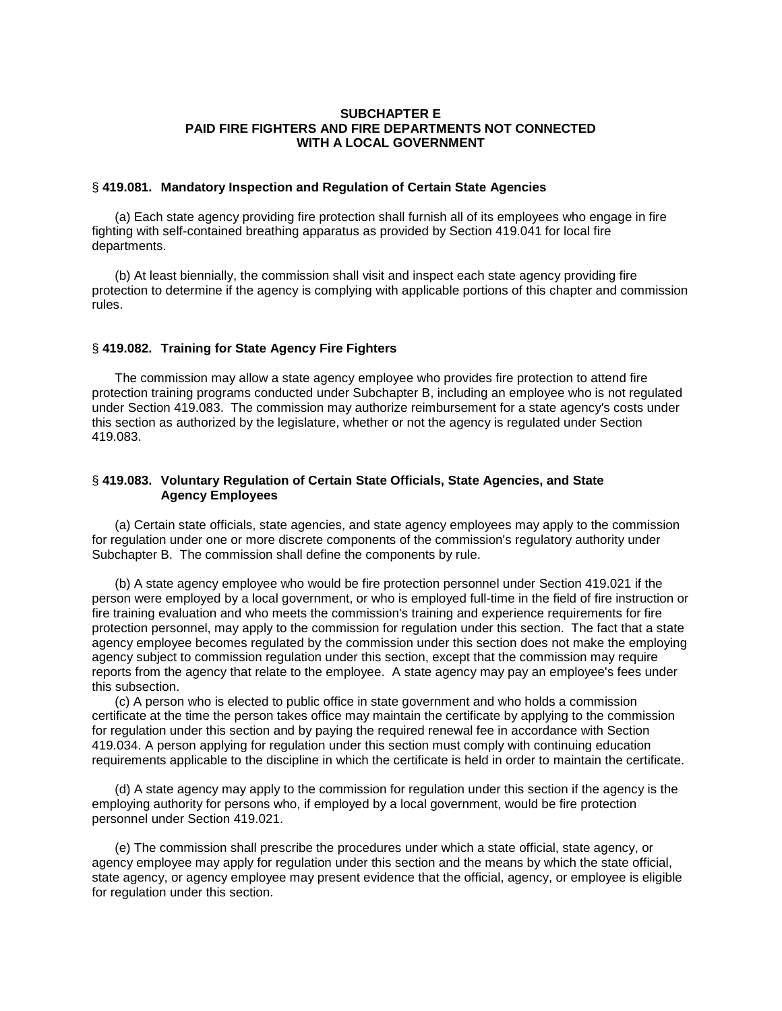### **SUBCHAPTER E PAID FIRE FIGHTERS AND FIRE DEPARTMENTS NOT CONNECTED WITH A LOCAL GOVERNMENT**

#### § **419.081. Mandatory Inspection and Regulation of Certain State Agencies**

(a) Each state agency providing fire protection shall furnish all of its employees who engage in fire fighting with self-contained breathing apparatus as provided by Section 419.041 for local fire departments.

(b) At least biennially, the commission shall visit and inspect each state agency providing fire protection to determine if the agency is complying with applicable portions of this chapter and commission rules.

### § **419.082. Training for State Agency Fire Fighters**

The commission may allow a state agency employee who provides fire protection to attend fire protection training programs conducted under Subchapter B, including an employee who is not regulated under Section 419.083. The commission may authorize reimbursement for a state agency's costs under this section as authorized by the legislature, whether or not the agency is regulated under Section 419.083.

### § **419.083. Voluntary Regulation of Certain State Officials, State Agencies, and State Agency Employees**

(a) Certain state officials, state agencies, and state agency employees may apply to the commission for regulation under one or more discrete components of the commission's regulatory authority under Subchapter B. The commission shall define the components by rule.

(b) A state agency employee who would be fire protection personnel under Section 419.021 if the person were employed by a local government, or who is employed full-time in the field of fire instruction or fire training evaluation and who meets the commission's training and experience requirements for fire protection personnel, may apply to the commission for regulation under this section. The fact that a state agency employee becomes regulated by the commission under this section does not make the employing agency subject to commission regulation under this section, except that the commission may require reports from the agency that relate to the employee. A state agency may pay an employee's fees under this subsection.

(c) A person who is elected to public office in state government and who holds a commission certificate at the time the person takes office may maintain the certificate by applying to the commission for regulation under this section and by paying the required renewal fee in accordance with Section 419.034. A person applying for regulation under this section must comply with continuing education requirements applicable to the discipline in which the certificate is held in order to maintain the certificate.

(d) A state agency may apply to the commission for regulation under this section if the agency is the employing authority for persons who, if employed by a local government, would be fire protection personnel under Section 419.021.

(e) The commission shall prescribe the procedures under which a state official, state agency, or agency employee may apply for regulation under this section and the means by which the state official, state agency, or agency employee may present evidence that the official, agency, or employee is eligible for regulation under this section.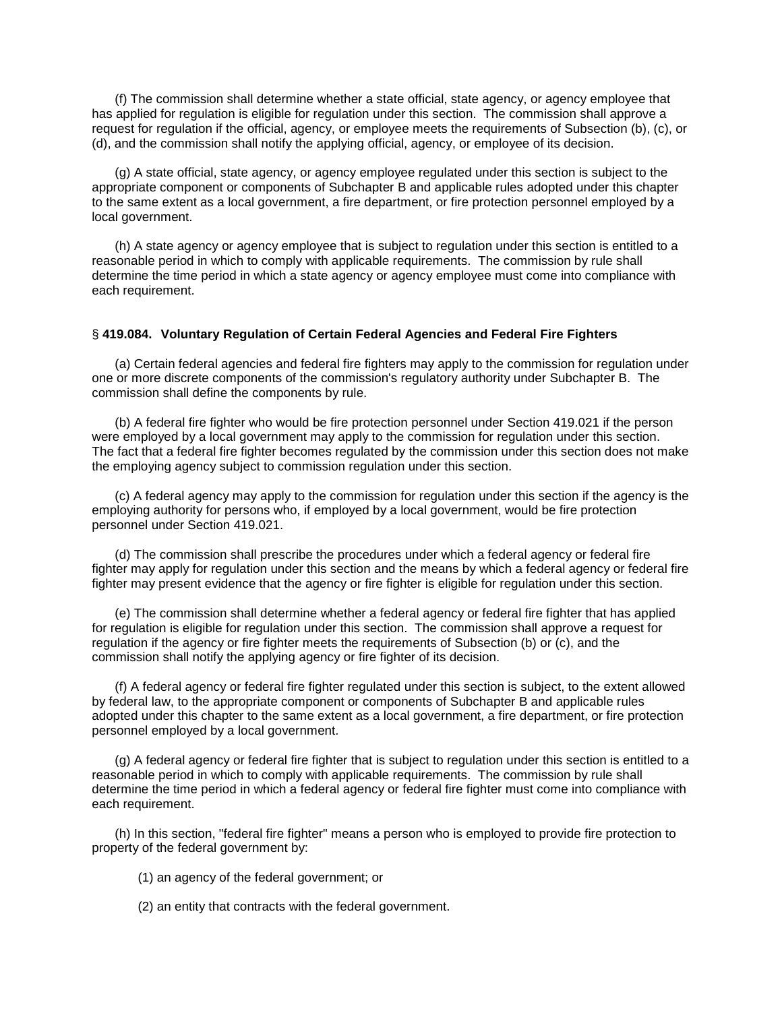(f) The commission shall determine whether a state official, state agency, or agency employee that has applied for regulation is eligible for regulation under this section. The commission shall approve a request for regulation if the official, agency, or employee meets the requirements of Subsection (b), (c), or (d), and the commission shall notify the applying official, agency, or employee of its decision.

(g) A state official, state agency, or agency employee regulated under this section is subject to the appropriate component or components of Subchapter B and applicable rules adopted under this chapter to the same extent as a local government, a fire department, or fire protection personnel employed by a local government.

(h) A state agency or agency employee that is subject to regulation under this section is entitled to a reasonable period in which to comply with applicable requirements. The commission by rule shall determine the time period in which a state agency or agency employee must come into compliance with each requirement.

### § **419.084. Voluntary Regulation of Certain Federal Agencies and Federal Fire Fighters**

(a) Certain federal agencies and federal fire fighters may apply to the commission for regulation under one or more discrete components of the commission's regulatory authority under Subchapter B. The commission shall define the components by rule.

(b) A federal fire fighter who would be fire protection personnel under Section 419.021 if the person were employed by a local government may apply to the commission for regulation under this section. The fact that a federal fire fighter becomes regulated by the commission under this section does not make the employing agency subject to commission regulation under this section.

(c) A federal agency may apply to the commission for regulation under this section if the agency is the employing authority for persons who, if employed by a local government, would be fire protection personnel under Section 419.021.

(d) The commission shall prescribe the procedures under which a federal agency or federal fire fighter may apply for regulation under this section and the means by which a federal agency or federal fire fighter may present evidence that the agency or fire fighter is eligible for regulation under this section.

(e) The commission shall determine whether a federal agency or federal fire fighter that has applied for regulation is eligible for regulation under this section. The commission shall approve a request for regulation if the agency or fire fighter meets the requirements of Subsection (b) or (c), and the commission shall notify the applying agency or fire fighter of its decision.

(f) A federal agency or federal fire fighter regulated under this section is subject, to the extent allowed by federal law, to the appropriate component or components of Subchapter B and applicable rules adopted under this chapter to the same extent as a local government, a fire department, or fire protection personnel employed by a local government.

(g) A federal agency or federal fire fighter that is subject to regulation under this section is entitled to a reasonable period in which to comply with applicable requirements. The commission by rule shall determine the time period in which a federal agency or federal fire fighter must come into compliance with each requirement.

(h) In this section, "federal fire fighter" means a person who is employed to provide fire protection to property of the federal government by:

(1) an agency of the federal government; or

(2) an entity that contracts with the federal government.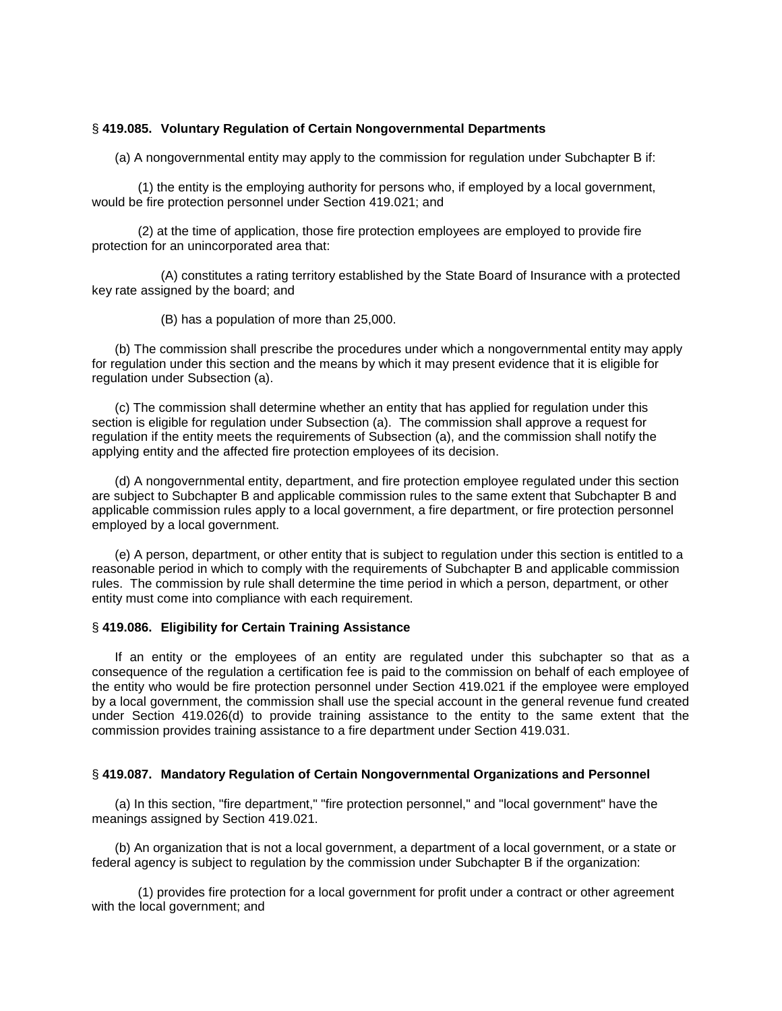#### § **419.085. Voluntary Regulation of Certain Nongovernmental Departments**

(a) A nongovernmental entity may apply to the commission for regulation under Subchapter B if:

(1) the entity is the employing authority for persons who, if employed by a local government, would be fire protection personnel under Section 419.021; and

(2) at the time of application, those fire protection employees are employed to provide fire protection for an unincorporated area that:

(A) constitutes a rating territory established by the State Board of Insurance with a protected key rate assigned by the board; and

(B) has a population of more than 25,000.

(b) The commission shall prescribe the procedures under which a nongovernmental entity may apply for regulation under this section and the means by which it may present evidence that it is eligible for regulation under Subsection (a).

(c) The commission shall determine whether an entity that has applied for regulation under this section is eligible for regulation under Subsection (a). The commission shall approve a request for regulation if the entity meets the requirements of Subsection (a), and the commission shall notify the applying entity and the affected fire protection employees of its decision.

(d) A nongovernmental entity, department, and fire protection employee regulated under this section are subject to Subchapter B and applicable commission rules to the same extent that Subchapter B and applicable commission rules apply to a local government, a fire department, or fire protection personnel employed by a local government.

(e) A person, department, or other entity that is subject to regulation under this section is entitled to a reasonable period in which to comply with the requirements of Subchapter B and applicable commission rules. The commission by rule shall determine the time period in which a person, department, or other entity must come into compliance with each requirement.

#### § **419.086. Eligibility for Certain Training Assistance**

If an entity or the employees of an entity are regulated under this subchapter so that as a consequence of the regulation a certification fee is paid to the commission on behalf of each employee of the entity who would be fire protection personnel under Section 419.021 if the employee were employed by a local government, the commission shall use the special account in the general revenue fund created under Section 419.026(d) to provide training assistance to the entity to the same extent that the commission provides training assistance to a fire department under Section 419.031.

# § **419.087. Mandatory Regulation of Certain Nongovernmental Organizations and Personnel**

(a) In this section, "fire department," "fire protection personnel," and "local government" have the meanings assigned by Section 419.021.

(b) An organization that is not a local government, a department of a local government, or a state or federal agency is subject to regulation by the commission under Subchapter B if the organization:

(1) provides fire protection for a local government for profit under a contract or other agreement with the local government; and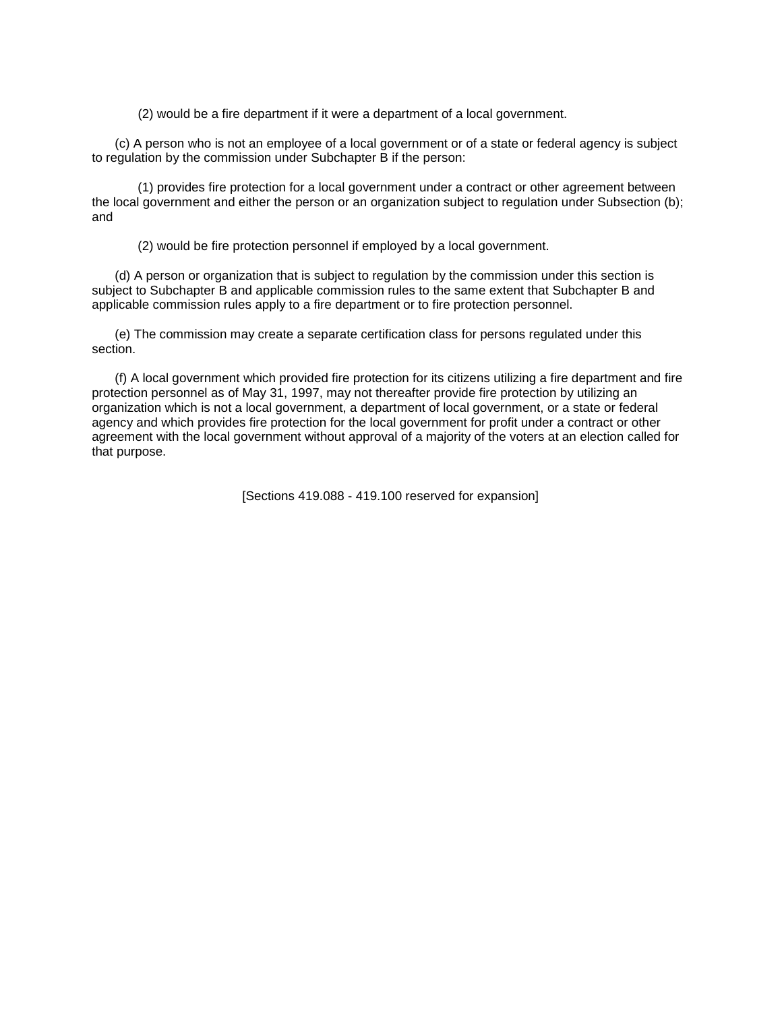(2) would be a fire department if it were a department of a local government.

(c) A person who is not an employee of a local government or of a state or federal agency is subject to regulation by the commission under Subchapter B if the person:

(1) provides fire protection for a local government under a contract or other agreement between the local government and either the person or an organization subject to regulation under Subsection (b); and

(2) would be fire protection personnel if employed by a local government.

(d) A person or organization that is subject to regulation by the commission under this section is subject to Subchapter B and applicable commission rules to the same extent that Subchapter B and applicable commission rules apply to a fire department or to fire protection personnel.

(e) The commission may create a separate certification class for persons regulated under this section.

(f) A local government which provided fire protection for its citizens utilizing a fire department and fire protection personnel as of May 31, 1997, may not thereafter provide fire protection by utilizing an organization which is not a local government, a department of local government, or a state or federal agency and which provides fire protection for the local government for profit under a contract or other agreement with the local government without approval of a majority of the voters at an election called for that purpose.

[Sections 419.088 - 419.100 reserved for expansion]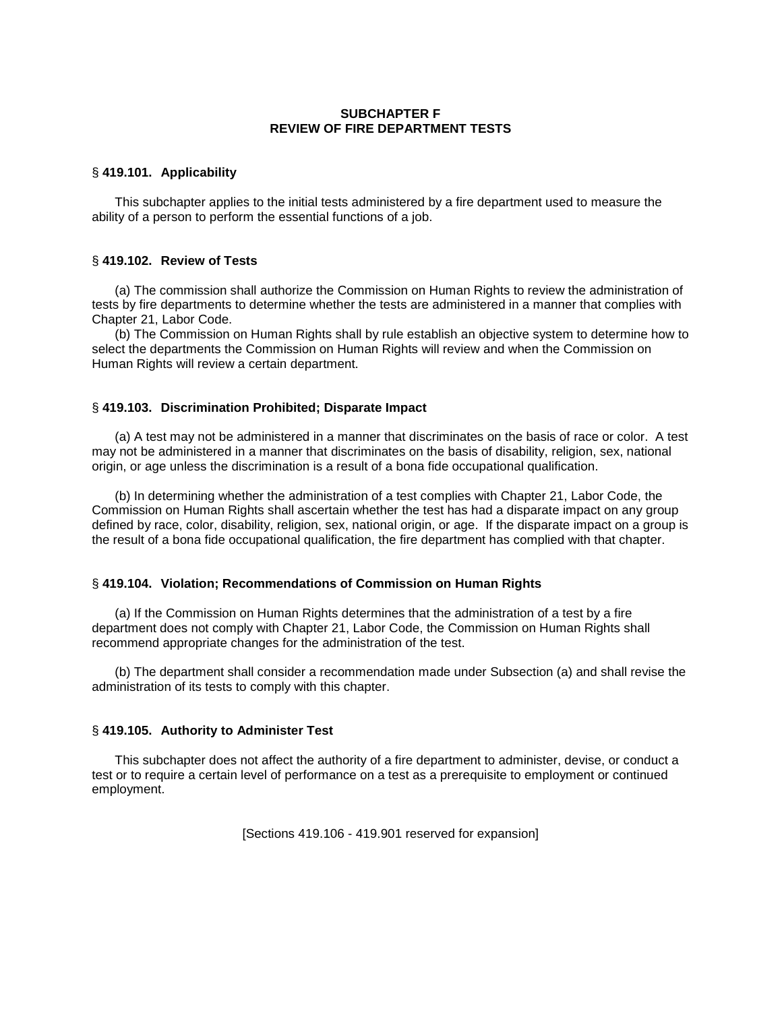# **SUBCHAPTER F REVIEW OF FIRE DEPARTMENT TESTS**

### § **419.101. Applicability**

This subchapter applies to the initial tests administered by a fire department used to measure the ability of a person to perform the essential functions of a job.

### § **419.102. Review of Tests**

(a) The commission shall authorize the Commission on Human Rights to review the administration of tests by fire departments to determine whether the tests are administered in a manner that complies with Chapter 21, Labor Code.

(b) The Commission on Human Rights shall by rule establish an objective system to determine how to select the departments the Commission on Human Rights will review and when the Commission on Human Rights will review a certain department.

### § **419.103. Discrimination Prohibited; Disparate Impact**

(a) A test may not be administered in a manner that discriminates on the basis of race or color. A test may not be administered in a manner that discriminates on the basis of disability, religion, sex, national origin, or age unless the discrimination is a result of a bona fide occupational qualification.

(b) In determining whether the administration of a test complies with Chapter 21, Labor Code, the Commission on Human Rights shall ascertain whether the test has had a disparate impact on any group defined by race, color, disability, religion, sex, national origin, or age. If the disparate impact on a group is the result of a bona fide occupational qualification, the fire department has complied with that chapter.

#### § **419.104. Violation; Recommendations of Commission on Human Rights**

(a) If the Commission on Human Rights determines that the administration of a test by a fire department does not comply with Chapter 21, Labor Code, the Commission on Human Rights shall recommend appropriate changes for the administration of the test.

(b) The department shall consider a recommendation made under Subsection (a) and shall revise the administration of its tests to comply with this chapter.

### § **419.105. Authority to Administer Test**

This subchapter does not affect the authority of a fire department to administer, devise, or conduct a test or to require a certain level of performance on a test as a prerequisite to employment or continued employment.

[Sections 419.106 - 419.901 reserved for expansion]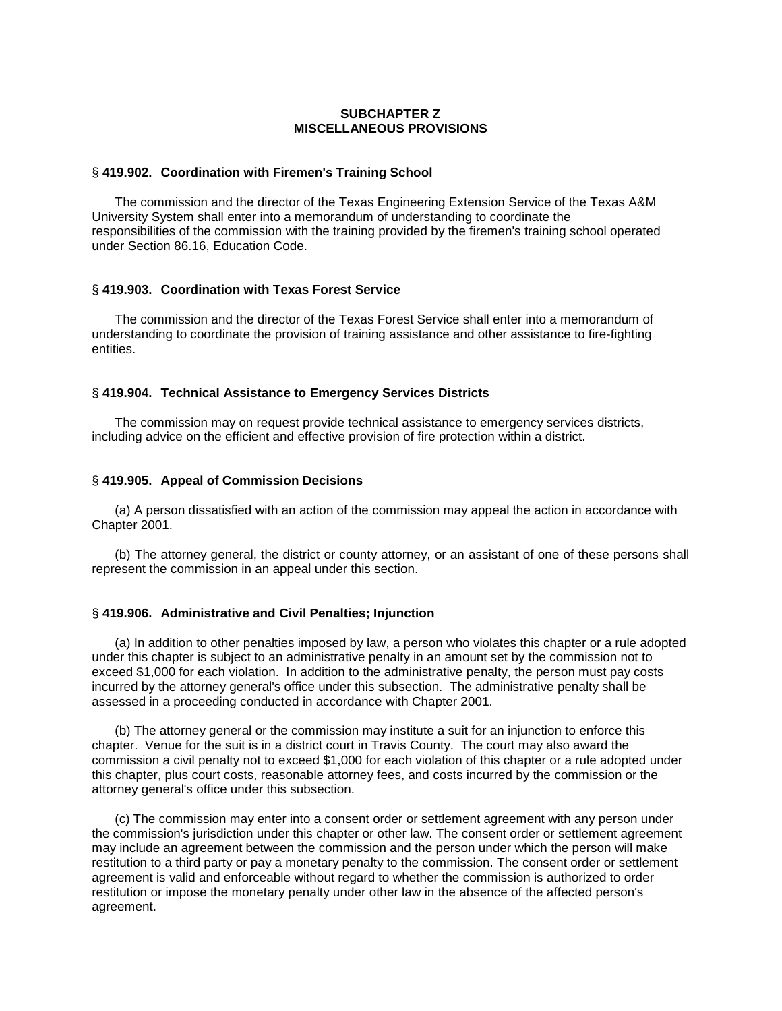# **SUBCHAPTER Z MISCELLANEOUS PROVISIONS**

#### § **419.902. Coordination with Firemen's Training School**

The commission and the director of the Texas Engineering Extension Service of the Texas A&M University System shall enter into a memorandum of understanding to coordinate the responsibilities of the commission with the training provided by the firemen's training school operated under Section 86.16, Education Code.

#### § **419.903. Coordination with Texas Forest Service**

The commission and the director of the Texas Forest Service shall enter into a memorandum of understanding to coordinate the provision of training assistance and other assistance to fire-fighting entities.

### § **419.904. Technical Assistance to Emergency Services Districts**

The commission may on request provide technical assistance to emergency services districts, including advice on the efficient and effective provision of fire protection within a district.

#### § **419.905. Appeal of Commission Decisions**

(a) A person dissatisfied with an action of the commission may appeal the action in accordance with Chapter 2001.

(b) The attorney general, the district or county attorney, or an assistant of one of these persons shall represent the commission in an appeal under this section.

#### § **419.906. Administrative and Civil Penalties; Injunction**

(a) In addition to other penalties imposed by law, a person who violates this chapter or a rule adopted under this chapter is subject to an administrative penalty in an amount set by the commission not to exceed \$1,000 for each violation. In addition to the administrative penalty, the person must pay costs incurred by the attorney general's office under this subsection. The administrative penalty shall be assessed in a proceeding conducted in accordance with Chapter 2001.

(b) The attorney general or the commission may institute a suit for an injunction to enforce this chapter. Venue for the suit is in a district court in Travis County. The court may also award the commission a civil penalty not to exceed \$1,000 for each violation of this chapter or a rule adopted under this chapter, plus court costs, reasonable attorney fees, and costs incurred by the commission or the attorney general's office under this subsection.

(c) The commission may enter into a consent order or settlement agreement with any person under the commission's jurisdiction under this chapter or other law. The consent order or settlement agreement may include an agreement between the commission and the person under which the person will make restitution to a third party or pay a monetary penalty to the commission. The consent order or settlement agreement is valid and enforceable without regard to whether the commission is authorized to order restitution or impose the monetary penalty under other law in the absence of the affected person's agreement.